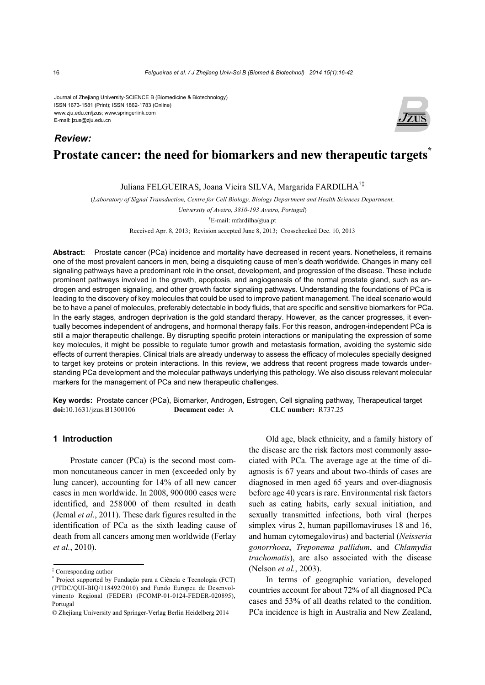#### Journal of Zhejiang University-SCIENCE B (Biomedicine & Biotechnology) ISSN 1673-1581 (Print); ISSN 1862-1783 (Online) www.zju.edu.cn/jzus; www.springerlink.com E-mail: jzus@zju.edu.cn

# **Prostate cancer: the need for biomarkers and new therapeutic targets** *Review:*

## Juliana FELGUEIRAS, Joana Vieira SILVA, Margarida FARDILHA†‡

(*Laboratory of Signal Transduction, Centre for Cell Biology, Biology Department and Health Sciences Department,* 

*University of Aveiro, 3810-193 Aveiro, Portugal*)

† E-mail: mfardilha@ua.pt

Received Apr. 8, 2013; Revision accepted June 8, 2013; Crosschecked Dec. 10, 2013

**Abstract:** Prostate cancer (PCa) incidence and mortality have decreased in recent years. Nonetheless, it remains one of the most prevalent cancers in men, being a disquieting cause of men's death worldwide. Changes in many cell signaling pathways have a predominant role in the onset, development, and progression of the disease. These include prominent pathways involved in the growth, apoptosis, and angiogenesis of the normal prostate gland, such as androgen and estrogen signaling, and other growth factor signaling pathways. Understanding the foundations of PCa is leading to the discovery of key molecules that could be used to improve patient management. The ideal scenario would be to have a panel of molecules, preferably detectable in body fluids, that are specific and sensitive biomarkers for PCa. In the early stages, androgen deprivation is the gold standard therapy. However, as the cancer progresses, it eventually becomes independent of androgens, and hormonal therapy fails. For this reason, androgen-independent PCa is still a major therapeutic challenge. By disrupting specific protein interactions or manipulating the expression of some key molecules, it might be possible to regulate tumor growth and metastasis formation, avoiding the systemic side effects of current therapies. Clinical trials are already underway to assess the efficacy of molecules specially designed to target key proteins or protein interactions. In this review, we address that recent progress made towards understanding PCa development and the molecular pathways underlying this pathology. We also discuss relevant molecular markers for the management of PCa and new therapeutic challenges.

**Key words:** Prostate cancer (PCa), Biomarker, Androgen, Estrogen, Cell signaling pathway, Therapeutical target **doi:**10.1631/jzus.B1300106 **Document code:** A **CLC number:** R737.25

## **1 Introduction**

Prostate cancer (PCa) is the second most common noncutaneous cancer in men (exceeded only by lung cancer), accounting for 14% of all new cancer cases in men worldwide. In 2008, 900000 cases were identified, and 258000 of them resulted in death (Jemal *et al.*, 2011). These dark figures resulted in the identification of PCa as the sixth leading cause of death from all cancers among men worldwide (Ferlay *et al.*, 2010).

Old age, black ethnicity, and a family history of the disease are the risk factors most commonly associated with PCa. The average age at the time of diagnosis is 67 years and about two-thirds of cases are diagnosed in men aged 65 years and over-diagnosis before age 40 years is rare. Environmental risk factors such as eating habits, early sexual initiation, and sexually transmitted infections, both viral (herpes simplex virus 2, human papillomaviruses 18 and 16, and human cytomegalovirus) and bacterial (*Neisseria gonorrhoea*, *Treponema pallidum*, and *Chlamydia trachomatis*), are also associated with the disease (Nelson *et al.*, 2003).

In terms of geographic variation, developed countries account for about 72% of all diagnosed PCa cases and 53% of all deaths related to the condition. PCa incidence is high in Australia and New Zealand,



<sup>‡</sup> Corresponding author

<sup>\*</sup> Project supported by Fundação para a Ciência e Tecnologia (FCT) (PTDC/QUI-BIQ/118492/2010) and Fundo Europeu de Desenvolvimento Regional (FEDER) (FCOMP-01-0124-FEDER-020895), Portugal

<sup>©</sup> Zhejiang University and Springer-Verlag Berlin Heidelberg 2014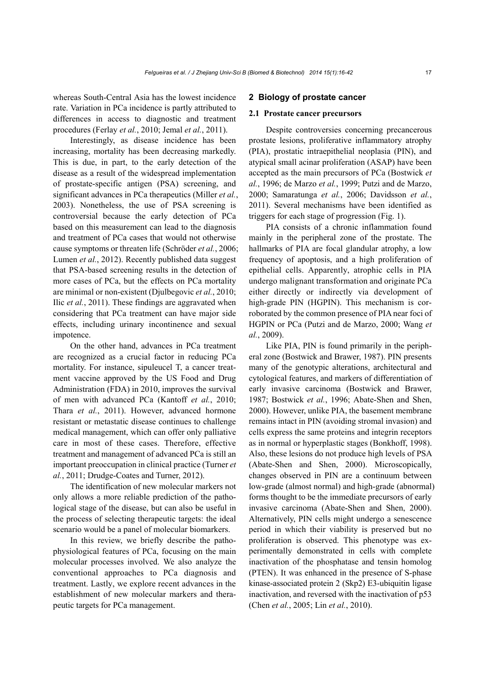whereas South-Central Asia has the lowest incidence rate. Variation in PCa incidence is partly attributed to differences in access to diagnostic and treatment procedures (Ferlay *et al.*, 2010; Jemal *et al.*, 2011).

Interestingly, as disease incidence has been increasing, mortality has been decreasing markedly. This is due, in part, to the early detection of the disease as a result of the widespread implementation of prostate-specific antigen (PSA) screening, and significant advances in PCa therapeutics (Miller *et al.*, 2003). Nonetheless, the use of PSA screening is controversial because the early detection of PCa based on this measurement can lead to the diagnosis and treatment of PCa cases that would not otherwise cause symptoms or threaten life (Schröder *et al.*, 2006; Lumen *et al.*, 2012). Recently published data suggest that PSA-based screening results in the detection of more cases of PCa, but the effects on PCa mortality are minimal or non-existent (Djulbegovic *et al.*, 2010; Ilic *et al.*, 2011). These findings are aggravated when considering that PCa treatment can have major side effects, including urinary incontinence and sexual impotence.

On the other hand, advances in PCa treatment are recognized as a crucial factor in reducing PCa mortality. For instance, sipuleucel T, a cancer treatment vaccine approved by the US Food and Drug Administration (FDA) in 2010, improves the survival of men with advanced PCa (Kantoff *et al.*, 2010; Thara *et al.*, 2011). However, advanced hormone resistant or metastatic disease continues to challenge medical management, which can offer only palliative care in most of these cases. Therefore, effective treatment and management of advanced PCa is still an important preoccupation in clinical practice (Turner *et al.*, 2011; Drudge-Coates and Turner, 2012).

The identification of new molecular markers not only allows a more reliable prediction of the pathological stage of the disease, but can also be useful in the process of selecting therapeutic targets: the ideal scenario would be a panel of molecular biomarkers.

In this review, we briefly describe the pathophysiological features of PCa, focusing on the main molecular processes involved. We also analyze the conventional approaches to PCa diagnosis and treatment. Lastly, we explore recent advances in the establishment of new molecular markers and therapeutic targets for PCa management.

## **2 Biology of prostate cancer**

### **2.1 Prostate cancer precursors**

Despite controversies concerning precancerous prostate lesions, proliferative inflammatory atrophy (PIA), prostatic intraepithelial neoplasia (PIN), and atypical small acinar proliferation (ASAP) have been accepted as the main precursors of PCa (Bostwick *et al.*, 1996; de Marzo *et al.*, 1999; Putzi and de Marzo, 2000; Samaratunga *et al.*, 2006; Davidsson *et al.*, 2011). Several mechanisms have been identified as triggers for each stage of progression (Fig. 1).

PIA consists of a chronic inflammation found mainly in the peripheral zone of the prostate. The hallmarks of PIA are focal glandular atrophy, a low frequency of apoptosis, and a high proliferation of epithelial cells. Apparently, atrophic cells in PIA undergo malignant transformation and originate PCa either directly or indirectly via development of high-grade PIN (HGPIN). This mechanism is corroborated by the common presence of PIA near foci of HGPIN or PCa (Putzi and de Marzo, 2000; Wang *et al.*, 2009).

Like PIA, PIN is found primarily in the peripheral zone (Bostwick and Brawer, 1987). PIN presents many of the genotypic alterations, architectural and cytological features, and markers of differentiation of early invasive carcinoma (Bostwick and Brawer, 1987; Bostwick *et al.*, 1996; Abate-Shen and Shen, 2000). However, unlike PIA, the basement membrane remains intact in PIN (avoiding stromal invasion) and cells express the same proteins and integrin receptors as in normal or hyperplastic stages (Bonkhoff, 1998). Also, these lesions do not produce high levels of PSA (Abate-Shen and Shen, 2000). Microscopically, changes observed in PIN are a continuum between low-grade (almost normal) and high-grade (abnormal) forms thought to be the immediate precursors of early invasive carcinoma (Abate-Shen and Shen, 2000). Alternatively, PIN cells might undergo a senescence period in which their viability is preserved but no proliferation is observed. This phenotype was experimentally demonstrated in cells with complete inactivation of the phosphatase and tensin homolog (PTEN). It was enhanced in the presence of S-phase kinase-associated protein 2 (Skp2) E3-ubiquitin ligase inactivation, and reversed with the inactivation of p53 (Chen *et al.*, 2005; Lin *et al.*, 2010).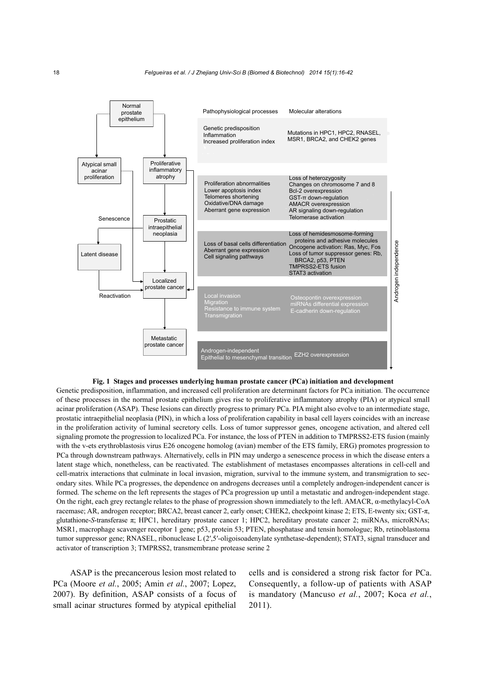

#### **Fig. 1 Stages and processes underlying human prostate cancer (PCa) initiation and development**

Genetic predisposition, inflammation, and increased cell proliferation are determinant factors for PCa initiation. The occurrence of these processes in the normal prostate epithelium gives rise to proliferative inflammatory atrophy (PIA) or atypical small acinar proliferation (ASAP). These lesions can directly progress to primary PCa. PIA might also evolve to an intermediate stage, prostatic intraepithelial neoplasia (PIN), in which a loss of proliferation capability in basal cell layers coincides with an increase in the proliferation activity of luminal secretory cells. Loss of tumor suppressor genes, oncogene activation, and altered cell signaling promote the progression to localized PCa. For instance, the loss of PTEN in addition to TMPRSS2-ETS fusion (mainly with the v-ets erythroblastosis virus E26 oncogene homolog (avian) member of the ETS family, ERG) promotes progression to PCa through downstream pathways. Alternatively, cells in PIN may undergo a senescence process in which the disease enters a latent stage which, nonetheless, can be reactivated. The establishment of metastases encompasses alterations in cell-cell and cell-matrix interactions that culminate in local invasion, migration, survival to the immune system, and transmigration to secondary sites. While PCa progresses, the dependence on androgens decreases until a completely androgen-independent cancer is formed. The scheme on the left represents the stages of PCa progression up until a metastatic and androgen-independent stage. On the right, each grey rectangle relates to the phase of progression shown immediately to the left. AMACR, α-methylacyl-CoA racemase; AR, androgen receptor; BRCA2, breast cancer 2, early onset; CHEK2, checkpoint kinase 2; ETS, E-twenty six; GST-π, glutathione-*S*-transferase π; HPC1, hereditary prostate cancer 1; HPC2, hereditary prostate cancer 2; miRNAs, microRNAs; MSR1, macrophage scavenger receptor 1 gene; p53, protein 53; PTEN, phosphatase and tensin homologue; Rb, retinoblastoma tumor suppressor gene; RNASEL, ribonuclease L (2′,5′-oligoisoadenylate synthetase-dependent); STAT3, signal transducer and activator of transcription 3; TMPRSS2, transmembrane protease serine 2

ASAP is the precancerous lesion most related to PCa (Moore *et al.*, 2005; Amin *et al.*, 2007; Lopez, 2007). By definition, ASAP consists of a focus of small acinar structures formed by atypical epithelial

cells and is considered a strong risk factor for PCa. Consequently, a follow-up of patients with ASAP is mandatory (Mancuso *et al.*, 2007; Koca *et al.*, 2011).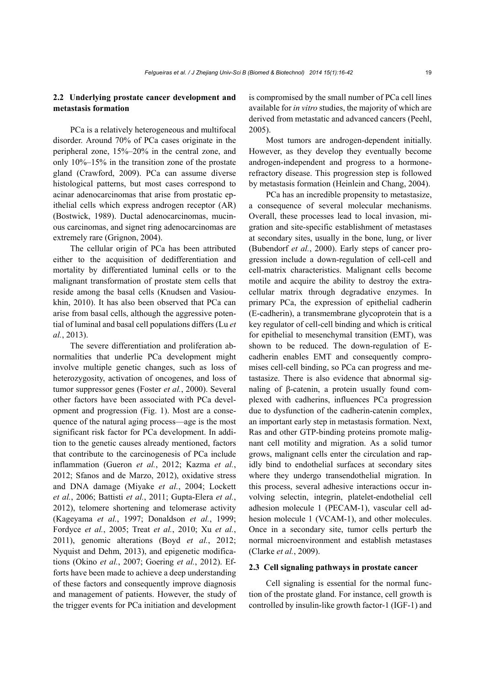## **2.2 Underlying prostate cancer development and metastasis formation**

PCa is a relatively heterogeneous and multifocal disorder. Around 70% of PCa cases originate in the peripheral zone, 15%–20% in the central zone, and only 10%–15% in the transition zone of the prostate gland (Crawford, 2009). PCa can assume diverse histological patterns, but most cases correspond to acinar adenocarcinomas that arise from prostatic epithelial cells which express androgen receptor (AR) (Bostwick, 1989). Ductal adenocarcinomas, mucinous carcinomas, and signet ring adenocarcinomas are extremely rare (Grignon, 2004).

The cellular origin of PCa has been attributed either to the acquisition of dedifferentiation and mortality by differentiated luminal cells or to the malignant transformation of prostate stem cells that reside among the basal cells (Knudsen and Vasioukhin, 2010). It has also been observed that PCa can arise from basal cells, although the aggressive potential of luminal and basal cell populations differs (Lu *et al.*, 2013).

The severe differentiation and proliferation abnormalities that underlie PCa development might involve multiple genetic changes, such as loss of heterozygosity, activation of oncogenes, and loss of tumor suppressor genes (Foster *et al.*, 2000). Several other factors have been associated with PCa development and progression (Fig. 1). Most are a consequence of the natural aging process—age is the most significant risk factor for PCa development. In addition to the genetic causes already mentioned, factors that contribute to the carcinogenesis of PCa include inflammation (Gueron *et al.*, 2012; Kazma *et al.*, 2012; Sfanos and de Marzo, 2012), oxidative stress and DNA damage (Miyake *et al.*, 2004; Lockett *et al.*, 2006; Battisti *et al.*, 2011; Gupta-Elera *et al.*, 2012), telomere shortening and telomerase activity (Kageyama *et al.*, 1997; Donaldson *et al.*, 1999; Fordyce *et al.*, 2005; Treat *et al.*, 2010; Xu *et al.*, 2011), genomic alterations (Boyd *et al.*, 2012; Nyquist and Dehm, 2013), and epigenetic modifications (Okino *et al.*, 2007; Goering *et al.*, 2012). Efforts have been made to achieve a deep understanding of these factors and consequently improve diagnosis and management of patients. However, the study of the trigger events for PCa initiation and development is compromised by the small number of PCa cell lines available for *in vitro* studies, the majority of which are derived from metastatic and advanced cancers (Peehl, 2005).

Most tumors are androgen-dependent initially. However, as they develop they eventually become androgen-independent and progress to a hormonerefractory disease. This progression step is followed by metastasis formation (Heinlein and Chang, 2004).

PCa has an incredible propensity to metastasize, a consequence of several molecular mechanisms. Overall, these processes lead to local invasion, migration and site-specific establishment of metastases at secondary sites, usually in the bone, lung, or liver (Bubendorf *et al.*, 2000). Early steps of cancer progression include a down-regulation of cell-cell and cell-matrix characteristics. Malignant cells become motile and acquire the ability to destroy the extracellular matrix through degradative enzymes. In primary PCa, the expression of epithelial cadherin (E-cadherin), a transmembrane glycoprotein that is a key regulator of cell-cell binding and which is critical for epithelial to mesenchymal transition (EMT), was shown to be reduced. The down-regulation of Ecadherin enables EMT and consequently compromises cell-cell binding, so PCa can progress and metastasize. There is also evidence that abnormal signaling of β-catenin, a protein usually found complexed with cadherins, influences PCa progression due to dysfunction of the cadherin-catenin complex, an important early step in metastasis formation. Next, Ras and other GTP-binding proteins promote malignant cell motility and migration. As a solid tumor grows, malignant cells enter the circulation and rapidly bind to endothelial surfaces at secondary sites where they undergo transendothelial migration. In this process, several adhesive interactions occur involving selectin, integrin, platelet-endothelial cell adhesion molecule 1 (PECAM-1), vascular cell adhesion molecule 1 (VCAM-1), and other molecules. Once in a secondary site, tumor cells perturb the normal microenvironment and establish metastases (Clarke *et al.*, 2009).

#### **2.3 Cell signaling pathways in prostate cancer**

Cell signaling is essential for the normal function of the prostate gland. For instance, cell growth is controlled by insulin-like growth factor-1 (IGF-1) and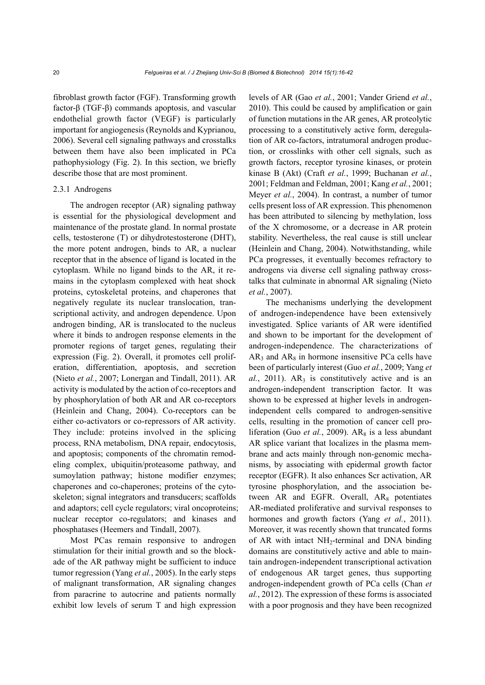fibroblast growth factor (FGF). Transforming growth factor-β (TGF-β) commands apoptosis, and vascular endothelial growth factor (VEGF) is particularly important for angiogenesis (Reynolds and Kyprianou, 2006). Several cell signaling pathways and crosstalks between them have also been implicated in PCa pathophysiology (Fig. 2). In this section, we briefly describe those that are most prominent.

#### 2.3.1 Androgens

The androgen receptor (AR) signaling pathway is essential for the physiological development and maintenance of the prostate gland. In normal prostate cells, testosterone (T) or dihydrotestosterone (DHT), the more potent androgen, binds to AR, a nuclear receptor that in the absence of ligand is located in the cytoplasm. While no ligand binds to the AR, it remains in the cytoplasm complexed with heat shock proteins, cytoskeletal proteins, and chaperones that negatively regulate its nuclear translocation, transcriptional activity, and androgen dependence. Upon androgen binding, AR is translocated to the nucleus where it binds to androgen response elements in the promoter regions of target genes, regulating their expression (Fig. 2). Overall, it promotes cell proliferation, differentiation, apoptosis, and secretion (Nieto *et al.*, 2007; Lonergan and Tindall, 2011). AR activity is modulated by the action of co-receptors and by phosphorylation of both AR and AR co-receptors (Heinlein and Chang, 2004). Co-receptors can be either co-activators or co-repressors of AR activity. They include: proteins involved in the splicing process, RNA metabolism, DNA repair, endocytosis, and apoptosis; components of the chromatin remodeling complex, ubiquitin/proteasome pathway, and sumoylation pathway; histone modifier enzymes; chaperones and co-chaperones; proteins of the cytoskeleton; signal integrators and transducers; scaffolds and adaptors; cell cycle regulators; viral oncoproteins; nuclear receptor co-regulators; and kinases and phosphatases (Heemers and Tindall, 2007).

Most PCas remain responsive to androgen stimulation for their initial growth and so the blockade of the AR pathway might be sufficient to induce tumor regression (Yang *et al.*, 2005). In the early steps of malignant transformation, AR signaling changes from paracrine to autocrine and patients normally exhibit low levels of serum T and high expression

levels of AR (Gao *et al.*, 2001; Vander Griend *et al.*, 2010). This could be caused by amplification or gain of function mutations in the AR genes, AR proteolytic processing to a constitutively active form, deregulation of AR co-factors, intratumoral androgen production, or crosslinks with other cell signals, such as growth factors, receptor tyrosine kinases, or protein kinase B (Akt) (Craft *et al.*, 1999; Buchanan *et al.*, 2001; Feldman and Feldman, 2001; Kang *et al.*, 2001; Meyer *et al.*, 2004). In contrast, a number of tumor cells present loss of AR expression. This phenomenon has been attributed to silencing by methylation, loss of the X chromosome, or a decrease in AR protein stability. Nevertheless, the real cause is still unclear (Heinlein and Chang, 2004). Notwithstanding, while PCa progresses, it eventually becomes refractory to androgens via diverse cell signaling pathway crosstalks that culminate in abnormal AR signaling (Nieto *et al.*, 2007).

The mechanisms underlying the development of androgen-independence have been extensively investigated. Splice variants of AR were identified and shown to be important for the development of androgen-independence. The characterizations of  $AR<sub>3</sub>$  and  $AR<sub>8</sub>$  in hormone insensitive PCa cells have been of particularly interest (Guo *et al.*, 2009; Yang *et*   $al.$ , 2011).  $AR<sub>3</sub>$  is constitutively active and is an androgen-independent transcription factor. It was shown to be expressed at higher levels in androgenindependent cells compared to androgen-sensitive cells, resulting in the promotion of cancer cell proliferation (Guo *et al.*, 2009). AR<sub>8</sub> is a less abundant AR splice variant that localizes in the plasma membrane and acts mainly through non-genomic mechanisms, by associating with epidermal growth factor receptor (EGFR). It also enhances Scr activation, AR tyrosine phosphorylation, and the association between AR and EGFR. Overall,  $AR_8$  potentiates AR-mediated proliferative and survival responses to hormones and growth factors (Yang *et al.*, 2011). Moreover, it was recently shown that truncated forms of AR with intact NH<sub>2</sub>-terminal and DNA binding domains are constitutively active and able to maintain androgen-independent transcriptional activation of endogenous AR target genes, thus supporting androgen-independent growth of PCa cells (Chan *et al.*, 2012). The expression of these forms is associated with a poor prognosis and they have been recognized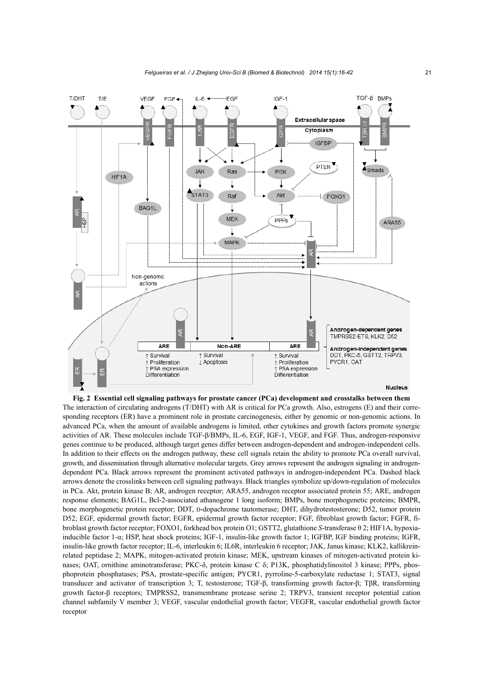

**Fig. 2 Essential cell signaling pathways for prostate cancer (PCa) development and crosstalks between them**  The interaction of circulating androgens (T/DHT) with AR is critical for PCa growth. Also, estrogens (E) and their corresponding receptors (ER) have a prominent role in prostate carcinogenesis, either by genomic or non-genomic actions. In advanced PCa, when the amount of available androgens is limited, other cytokines and growth factors promote synergic activities of AR. These molecules include TGF-β/BMPs, IL-6, EGF, IGF-1, VEGF, and FGF. Thus, androgen-responsive genes continue to be produced, although target genes differ between androgen-dependent and androgen-independent cells. In addition to their effects on the androgen pathway, these cell signals retain the ability to promote PCa overall survival, growth, and dissemination through alternative molecular targets. Grey arrows represent the androgen signaling in androgendependent PCa. Black arrows represent the prominent activated pathways in androgen-independent PCa. Dashed black arrows denote the crosslinks between cell signaling pathways. Black triangles symbolize up/down-regulation of molecules in PCa. Akt, protein kinase B; AR, androgen receptor; ARA55, androgen receptor associated protein 55; ARE, androgen response elements; BAG1L, Bcl-2-associated athanogene 1 long isoform; BMPs, bone morphogenetic proteins; BMPR, bone morphogenetic protein receptor; DDT, D-dopachrome tautomerase; DHT, dihydrotestosterone; D52, tumor protein D52; EGF, epidermal growth factor; EGFR, epidermal growth factor receptor; FGF, fibroblast growth factor; FGFR, fibroblast growth factor receptor; FOXO1, forkhead box protein O1; GSTT2, glutathione *S*-transferase θ 2; HIF1A, hypoxiainducible factor 1-α; HSP, heat shock proteins; IGF-1, insulin-like growth factor 1; IGFBP, IGF binding proteins; IGFR, insulin-like growth factor receptor; IL-6, interleukin 6; IL6R, interleukin 6 receptor; JAK, Janus kinase; KLK2, kallikreinrelated peptidase 2; MAPK, mitogen-activated protein kinase; MEK, upstream kinases of mitogen-activated protein kinases; OAT, ornithine aminotransferase; PKC-δ, protein kinase C δ; P13K, phosphatidylinositol 3 kinase; PPPs, phosphoprotein phosphatases; PSA, prostate-specific antigen; PYCR1, pyrroline-5-carboxylate reductase 1; STAT3, signal transducer and activator of transcription 3; T, testosterone; TGF-β, transforming growth factor-β; TβR, transforming growth factor-β receptors; TMPRSS2, transmembrane protease serine 2; TRPV3, transient receptor potential cation channel subfamily V member 3; VEGF, vascular endothelial growth factor; VEGFR, vascular endothelial growth factor receptor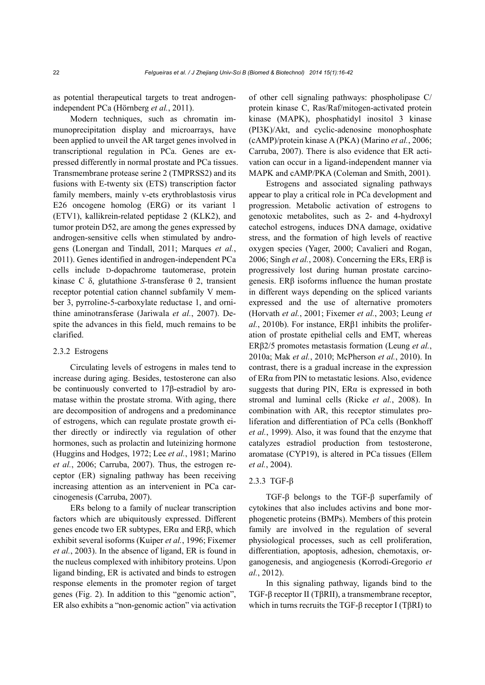as potential therapeutical targets to treat androgenindependent PCa (Hörnberg *et al.*, 2011).

Modern techniques, such as chromatin immunoprecipitation display and microarrays, have been applied to unveil the AR target genes involved in transcriptional regulation in PCa. Genes are expressed differently in normal prostate and PCa tissues. Transmembrane protease serine 2 (TMPRSS2) and its fusions with E-twenty six (ETS) transcription factor family members, mainly v-ets erythroblastosis virus E26 oncogene homolog (ERG) or its variant 1 (ETV1), kallikrein-related peptidase 2 (KLK2), and tumor protein D52, are among the genes expressed by androgen-sensitive cells when stimulated by androgens (Lonergan and Tindall, 2011; Marques *et al.*, 2011). Genes identified in androgen-independent PCa cells include D-dopachrome tautomerase, protein kinase C δ, glutathione *S*-transferase θ 2, transient receptor potential cation channel subfamily V member 3, pyrroline-5-carboxylate reductase 1, and ornithine aminotransferase (Jariwala *et al.*, 2007). Despite the advances in this field, much remains to be clarified.

## 2.3.2 Estrogens

Circulating levels of estrogens in males tend to increase during aging. Besides, testosterone can also be continuously converted to 17β-estradiol by aromatase within the prostate stroma. With aging, there are decomposition of androgens and a predominance of estrogens, which can regulate prostate growth either directly or indirectly via regulation of other hormones, such as prolactin and luteinizing hormone (Huggins and Hodges, 1972; Lee *et al.*, 1981; Marino *et al.*, 2006; Carruba, 2007). Thus, the estrogen receptor (ER) signaling pathway has been receiving increasing attention as an intervenient in PCa carcinogenesis (Carruba, 2007).

ERs belong to a family of nuclear transcription factors which are ubiquitously expressed. Different genes encode two ER subtypes, ERα and ERβ, which exhibit several isoforms (Kuiper *et al.*, 1996; Fixemer *et al.*, 2003). In the absence of ligand, ER is found in the nucleus complexed with inhibitory proteins. Upon ligand binding, ER is activated and binds to estrogen response elements in the promoter region of target genes (Fig. 2). In addition to this "genomic action", ER also exhibits a "non-genomic action" via activation of other cell signaling pathways: phospholipase C/ protein kinase C, Ras/Raf/mitogen-activated protein kinase (MAPK), phosphatidyl inositol 3 kinase (PI3K)/Akt, and cyclic-adenosine monophosphate (cAMP)/protein kinase A (PKA) (Marino *et al.*, 2006; Carruba, 2007). There is also evidence that ER activation can occur in a ligand-independent manner via MAPK and cAMP/PKA (Coleman and Smith, 2001).

Estrogens and associated signaling pathways appear to play a critical role in PCa development and progression. Metabolic activation of estrogens to genotoxic metabolites, such as 2- and 4-hydroxyl catechol estrogens, induces DNA damage, oxidative stress, and the formation of high levels of reactive oxygen species (Yager, 2000; Cavalieri and Rogan, 2006; Singh *et al.*, 2008). Concerning the ERs, ERβ is progressively lost during human prostate carcinogenesis. ERβ isoforms influence the human prostate in different ways depending on the spliced variants expressed and the use of alternative promoters (Horvath *et al.*, 2001; Fixemer *et al.*, 2003; Leung *et al.*, 2010b). For instance, ERβ1 inhibits the proliferation of prostate epithelial cells and EMT, whereas ERβ2/5 promotes metastasis formation (Leung *et al.*, 2010a; Mak *et al.*, 2010; McPherson *et al.*, 2010). In contrast, there is a gradual increase in the expression of ERα from PIN to metastatic lesions. Also, evidence suggests that during PIN,  $ER\alpha$  is expressed in both stromal and luminal cells (Ricke *et al.*, 2008). In combination with AR, this receptor stimulates proliferation and differentiation of PCa cells (Bonkhoff *et al.*, 1999). Also, it was found that the enzyme that catalyzes estradiol production from testosterone, aromatase (CYP19), is altered in PCa tissues (Ellem *et al.*, 2004).

#### 2.3.3 TGF-β

TGF-β belongs to the TGF-β superfamily of cytokines that also includes activins and bone morphogenetic proteins (BMPs). Members of this protein family are involved in the regulation of several physiological processes, such as cell proliferation, differentiation, apoptosis, adhesion, chemotaxis, organogenesis, and angiogenesis (Korrodi-Gregorio *et al.*, 2012).

In this signaling pathway, ligands bind to the TGF-β receptor II (TβRII), a transmembrane receptor, which in turns recruits the TGF- $\beta$  receptor I (T $\beta$ RI) to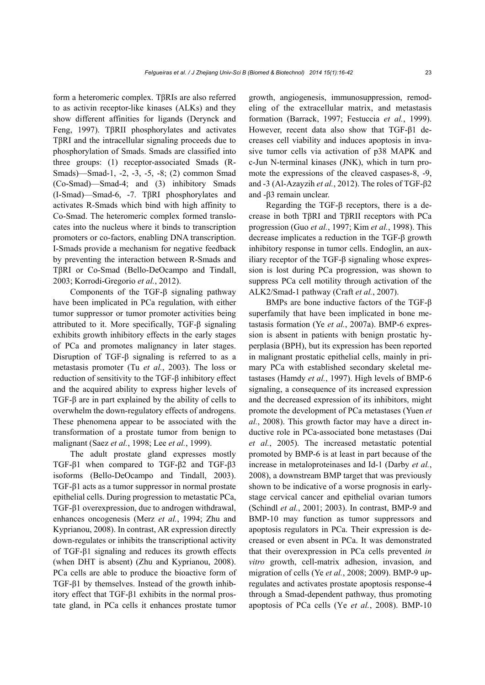form a heteromeric complex. TβRIs are also referred to as activin receptor-like kinases (ALKs) and they show different affinities for ligands (Derynck and Feng, 1997). TβRII phosphorylates and activates TβRI and the intracellular signaling proceeds due to phosphorylation of Smads. Smads are classified into three groups: (1) receptor-associated Smads (R-Smads)—Smad-1, -2, -3, -5, -8; (2) common Smad (Co-Smad)—Smad-4; and (3) inhibitory Smads (I-Smad)—Smad-6, -7. TβRI phosphorylates and activates R-Smads which bind with high affinity to Co-Smad. The heteromeric complex formed translocates into the nucleus where it binds to transcription promoters or co-factors, enabling DNA transcription. I-Smads provide a mechanism for negative feedback by preventing the interaction between R-Smads and TβRI or Co-Smad (Bello-DeOcampo and Tindall, 2003; Korrodi-Gregorio *et al.*, 2012).

Components of the TGF-β signaling pathway have been implicated in PCa regulation, with either tumor suppressor or tumor promoter activities being attributed to it. More specifically, TGF-β signaling exhibits growth inhibitory effects in the early stages of PCa and promotes malignancy in later stages. Disruption of TGF-β signaling is referred to as a metastasis promoter (Tu *et al.*, 2003). The loss or reduction of sensitivity to the TGF-β inhibitory effect and the acquired ability to express higher levels of TGF-β are in part explained by the ability of cells to overwhelm the down-regulatory effects of androgens. These phenomena appear to be associated with the transformation of a prostate tumor from benign to malignant (Saez *et al.*, 1998; Lee *et al.*, 1999).

The adult prostate gland expresses mostly TGF-β1 when compared to TGF-β2 and TGF-β3 isoforms (Bello-DeOcampo and Tindall, 2003). TGF-β1 acts as a tumor suppressor in normal prostate epithelial cells. During progression to metastatic PCa, TGF-β1 overexpression, due to androgen withdrawal, enhances oncogenesis (Merz *et al.*, 1994; Zhu and Kyprianou, 2008). In contrast, AR expression directly down-regulates or inhibits the transcriptional activity of TGF-β1 signaling and reduces its growth effects (when DHT is absent) (Zhu and Kyprianou, 2008). PCa cells are able to produce the bioactive form of TGF-β1 by themselves. Instead of the growth inhibitory effect that TGF-β1 exhibits in the normal prostate gland, in PCa cells it enhances prostate tumor growth, angiogenesis, immunosuppression, remodeling of the extracellular matrix, and metastasis formation (Barrack, 1997; Festuccia *et al.*, 1999). However, recent data also show that TGF-β1 decreases cell viability and induces apoptosis in invasive tumor cells via activation of p38 MAPK and c-Jun N-terminal kinases (JNK), which in turn promote the expressions of the cleaved caspases-8, -9, and -3 (Al-Azayzih *et al.*, 2012). The roles of TGF-β2 and -β3 remain unclear.

Regarding the TGF-β receptors, there is a decrease in both TβRI and TβRII receptors with PCa progression (Guo *et al.*, 1997; Kim *et al.*, 1998). This decrease implicates a reduction in the TGF-β growth inhibitory response in tumor cells. Endoglin, an auxiliary receptor of the TGF-β signaling whose expression is lost during PCa progression, was shown to suppress PCa cell motility through activation of the ALK2/Smad-1 pathway (Craft *et al.*, 2007).

BMPs are bone inductive factors of the TGF-β superfamily that have been implicated in bone metastasis formation (Ye *et al.*, 2007a). BMP-6 expression is absent in patients with benign prostatic hyperplasia (BPH), but its expression has been reported in malignant prostatic epithelial cells, mainly in primary PCa with established secondary skeletal metastases (Hamdy *et al.*, 1997). High levels of BMP-6 signaling, a consequence of its increased expression and the decreased expression of its inhibitors, might promote the development of PCa metastases (Yuen *et al.*, 2008). This growth factor may have a direct inductive role in PCa-associated bone metastases (Dai *et al.*, 2005). The increased metastatic potential promoted by BMP-6 is at least in part because of the increase in metaloproteinases and Id-1 (Darby *et al.*, 2008), a downstream BMP target that was previously shown to be indicative of a worse prognosis in earlystage cervical cancer and epithelial ovarian tumors (Schindl *et al.*, 2001; 2003). In contrast, BMP-9 and BMP-10 may function as tumor suppressors and apoptosis regulators in PCa. Their expression is decreased or even absent in PCa. It was demonstrated that their overexpression in PCa cells prevented *in vitro* growth, cell-matrix adhesion, invasion, and migration of cells (Ye *et al.*, 2008; 2009). BMP-9 upregulates and activates prostate apoptosis response-4 through a Smad-dependent pathway, thus promoting apoptosis of PCa cells (Ye *et al.*, 2008). BMP-10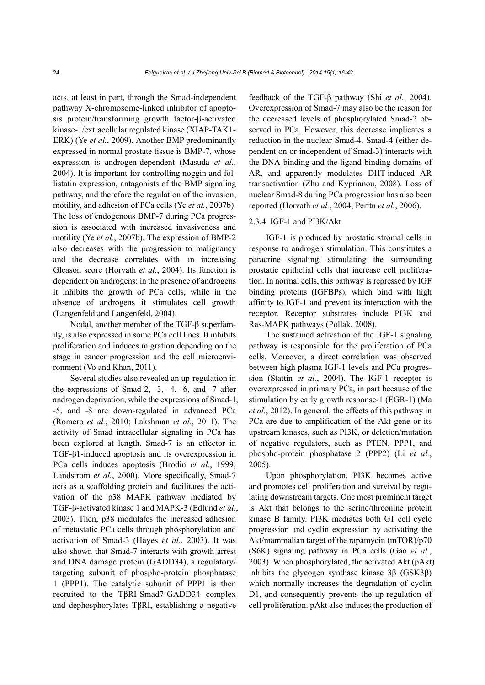acts, at least in part, through the Smad-independent pathway X-chromosome-linked inhibitor of apoptosis protein/transforming growth factor-β-activated kinase-1/extracellular regulated kinase (XIAP-TAK1- ERK) (Ye *et al.*, 2009). Another BMP predominantly expressed in normal prostate tissue is BMP-7, whose expression is androgen-dependent (Masuda *et al.*, 2004). It is important for controlling noggin and follistatin expression, antagonists of the BMP signaling pathway, and therefore the regulation of the invasion, motility, and adhesion of PCa cells (Ye *et al.*, 2007b). The loss of endogenous BMP-7 during PCa progression is associated with increased invasiveness and motility (Ye *et al.*, 2007b). The expression of BMP-2 also decreases with the progression to malignancy and the decrease correlates with an increasing Gleason score (Horvath *et al.*, 2004). Its function is dependent on androgens: in the presence of androgens it inhibits the growth of PCa cells, while in the absence of androgens it stimulates cell growth (Langenfeld and Langenfeld, 2004).

Nodal, another member of the TGF-β superfamily, is also expressed in some PCa cell lines. It inhibits proliferation and induces migration depending on the stage in cancer progression and the cell microenvironment (Vo and Khan, 2011).

Several studies also revealed an up-regulation in the expressions of Smad-2, -3, -4, -6, and -7 after androgen deprivation, while the expressions of Smad-1, -5, and -8 are down-regulated in advanced PCa (Romero *et al.*, 2010; Lakshman *et al.*, 2011). The activity of Smad intracellular signaling in PCa has been explored at length. Smad-7 is an effector in TGF-β1-induced apoptosis and its overexpression in PCa cells induces apoptosis (Brodin *et al.*, 1999; Landstrom *et al.*, 2000). More specifically, Smad-7 acts as a scaffolding protein and facilitates the activation of the p38 MAPK pathway mediated by TGF-β-activated kinase 1 and MAPK-3 (Edlund *et al.*, 2003). Then, p38 modulates the increased adhesion of metastatic PCa cells through phosphorylation and activation of Smad-3 (Hayes *et al.*, 2003). It was also shown that Smad-7 interacts with growth arrest and DNA damage protein (GADD34), a regulatory/ targeting subunit of phospho-protein phosphatase 1 (PPP1). The catalytic subunit of PPP1 is then recruited to the TβRI-Smad7-GADD34 complex and dephosphorylates TβRI, establishing a negative

feedback of the TGF-β pathway (Shi *et al.*, 2004). Overexpression of Smad-7 may also be the reason for the decreased levels of phosphorylated Smad-2 observed in PCa. However, this decrease implicates a reduction in the nuclear Smad-4. Smad-4 (either dependent on or independent of Smad-3) interacts with the DNA-binding and the ligand-binding domains of AR, and apparently modulates DHT-induced AR transactivation (Zhu and Kyprianou, 2008). Loss of nuclear Smad-8 during PCa progression has also been reported (Horvath *et al.*, 2004; Perttu *et al.*, 2006).

## 2.3.4 IGF-1 and PI3K/Akt

IGF-1 is produced by prostatic stromal cells in response to androgen stimulation. This constitutes a paracrine signaling, stimulating the surrounding prostatic epithelial cells that increase cell proliferation. In normal cells, this pathway is repressed by IGF binding proteins (IGFBPs), which bind with high affinity to IGF-1 and prevent its interaction with the receptor. Receptor substrates include PI3K and Ras-MAPK pathways (Pollak, 2008).

The sustained activation of the IGF-1 signaling pathway is responsible for the proliferation of PCa cells. Moreover, a direct correlation was observed between high plasma IGF-1 levels and PCa progression (Stattin *et al.*, 2004). The IGF-1 receptor is overexpressed in primary PCa, in part because of the stimulation by early growth response-1 (EGR-1) (Ma *et al.*, 2012). In general, the effects of this pathway in PCa are due to amplification of the Akt gene or its upstream kinases, such as PI3K, or deletion/mutation of negative regulators, such as PTEN, PPP1, and phospho-protein phosphatase 2 (PPP2) (Li *et al.*, 2005).

Upon phosphorylation, PI3K becomes active and promotes cell proliferation and survival by regulating downstream targets. One most prominent target is Akt that belongs to the serine/threonine protein kinase B family. PI3K mediates both G1 cell cycle progression and cyclin expression by activating the Akt/mammalian target of the rapamycin (mTOR)/p70 (S6K) signaling pathway in PCa cells (Gao *et al.*, 2003). When phosphorylated, the activated Akt (pAkt) inhibits the glycogen synthase kinase 3β (GSK3β) which normally increases the degradation of cyclin D1, and consequently prevents the up-regulation of cell proliferation. pAkt also induces the production of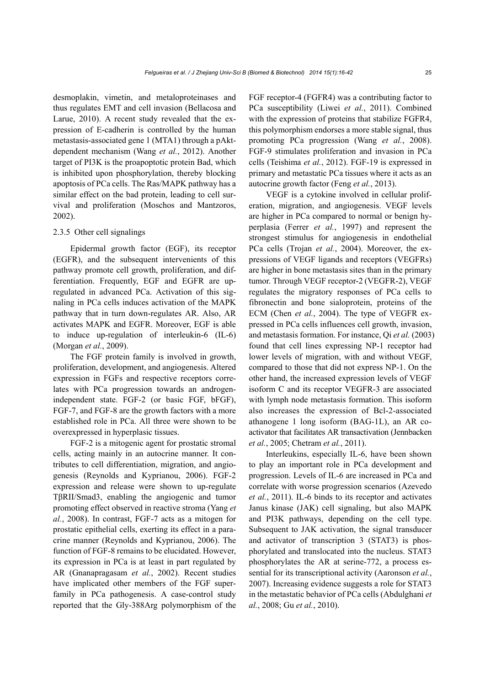desmoplakin, vimetin, and metaloproteinases and thus regulates EMT and cell invasion (Bellacosa and Larue, 2010). A recent study revealed that the expression of E-cadherin is controlled by the human metastasis-associated gene 1 (MTA1) through a pAktdependent mechanism (Wang *et al.*, 2012). Another target of PI3K is the proapoptotic protein Bad, which is inhibited upon phosphorylation, thereby blocking apoptosis of PCa cells. The Ras/MAPK pathway has a similar effect on the bad protein, leading to cell survival and proliferation (Moschos and Mantzoros, 2002).

## 2.3.5 Other cell signalings

Epidermal growth factor (EGF), its receptor (EGFR), and the subsequent intervenients of this pathway promote cell growth, proliferation, and differentiation. Frequently, EGF and EGFR are upregulated in advanced PCa. Activation of this signaling in PCa cells induces activation of the MAPK pathway that in turn down-regulates AR. Also, AR activates MAPK and EGFR. Moreover, EGF is able to induce up-regulation of interleukin-6 (IL-6) (Morgan *et al.*, 2009).

The FGF protein family is involved in growth, proliferation, development, and angiogenesis. Altered expression in FGFs and respective receptors correlates with PCa progression towards an androgenindependent state. FGF-2 (or basic FGF, bFGF), FGF-7, and FGF-8 are the growth factors with a more established role in PCa. All three were shown to be overexpressed in hyperplasic tissues.

FGF-2 is a mitogenic agent for prostatic stromal cells, acting mainly in an autocrine manner. It contributes to cell differentiation, migration, and angiogenesis (Reynolds and Kyprianou, 2006). FGF-2 expression and release were shown to up-regulate TβRII/Smad3, enabling the angiogenic and tumor promoting effect observed in reactive stroma (Yang *et al.*, 2008). In contrast, FGF-7 acts as a mitogen for prostatic epithelial cells, exerting its effect in a paracrine manner (Reynolds and Kyprianou, 2006). The function of FGF-8 remains to be elucidated. However, its expression in PCa is at least in part regulated by AR (Gnanapragasam *et al.*, 2002). Recent studies have implicated other members of the FGF superfamily in PCa pathogenesis. A case-control study reported that the Gly-388Arg polymorphism of the FGF receptor-4 (FGFR4) was a contributing factor to PCa susceptibility (Liwei *et al.*, 2011). Combined with the expression of proteins that stabilize FGFR4, this polymorphism endorses a more stable signal, thus promoting PCa progression (Wang *et al.*, 2008). FGF-9 stimulates proliferation and invasion in PCa cells (Teishima *et al.*, 2012). FGF-19 is expressed in primary and metastatic PCa tissues where it acts as an autocrine growth factor (Feng *et al.*, 2013).

VEGF is a cytokine involved in cellular proliferation, migration, and angiogenesis. VEGF levels are higher in PCa compared to normal or benign hyperplasia (Ferrer *et al.*, 1997) and represent the strongest stimulus for angiogenesis in endothelial PCa cells (Trojan *et al.*, 2004). Moreover, the expressions of VEGF ligands and receptors (VEGFRs) are higher in bone metastasis sites than in the primary tumor. Through VEGF receptor-2 (VEGFR-2), VEGF regulates the migratory responses of PCa cells to fibronectin and bone sialoprotein, proteins of the ECM (Chen *et al.*, 2004). The type of VEGFR expressed in PCa cells influences cell growth, invasion, and metastasis formation. For instance, Qi *et al.* (2003) found that cell lines expressing NP-1 receptor had lower levels of migration, with and without VEGF, compared to those that did not express NP-1. On the other hand, the increased expression levels of VEGF isoform C and its receptor VEGFR-3 are associated with lymph node metastasis formation. This isoform also increases the expression of Bcl-2-associated athanogene 1 long isoform (BAG-1L), an AR coactivator that facilitates AR transactivation (Jennbacken *et al.*, 2005; Chetram *et al.*, 2011).

Interleukins, especially IL-6, have been shown to play an important role in PCa development and progression. Levels of IL-6 are increased in PCa and correlate with worse progression scenarios (Azevedo *et al.*, 2011). IL-6 binds to its receptor and activates Janus kinase (JAK) cell signaling, but also MAPK and PI3K pathways, depending on the cell type. Subsequent to JAK activation, the signal transducer and activator of transcription 3 (STAT3) is phosphorylated and translocated into the nucleus. STAT3 phosphorylates the AR at serine-772, a process essential for its transcriptional activity (Aaronson *et al.*, 2007). Increasing evidence suggests a role for STAT3 in the metastatic behavior of PCa cells (Abdulghani *et al.*, 2008; Gu *et al.*, 2010).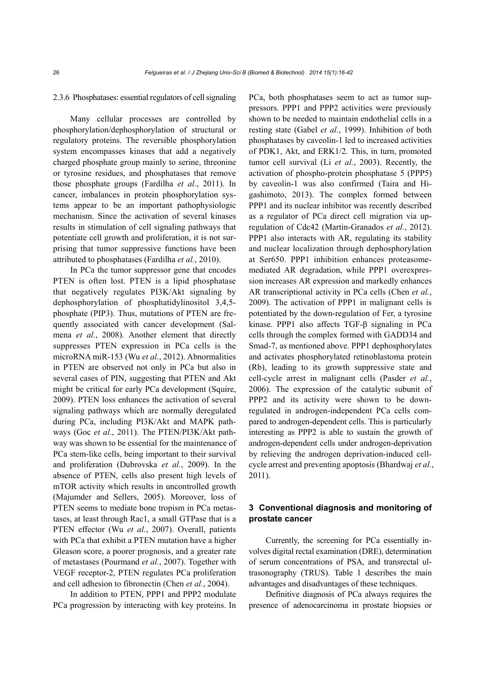#### 2.3.6 Phosphatases: essential regulators of cell signaling

Many cellular processes are controlled by phosphorylation/dephosphorylation of structural or regulatory proteins. The reversible phosphorylation system encompasses kinases that add a negatively charged phosphate group mainly to serine, threonine or tyrosine residues, and phosphatases that remove those phosphate groups (Fardilha *et al.*, 2011). In cancer, imbalances in protein phosphorylation systems appear to be an important pathophysiologic mechanism. Since the activation of several kinases results in stimulation of cell signaling pathways that potentiate cell growth and proliferation, it is not surprising that tumor suppressive functions have been attributed to phosphatases (Fardilha *et al.*, 2010).

In PCa the tumor suppressor gene that encodes PTEN is often lost. PTEN is a lipid phosphatase that negatively regulates PI3K/Akt signaling by dephosphorylation of phosphatidylinositol 3,4,5 phosphate (PIP3). Thus, mutations of PTEN are frequently associated with cancer development (Salmena *et al.*, 2008). Another element that directly suppresses PTEN expression in PCa cells is the microRNA miR-153 (Wu *et al.*, 2012). Abnormalities in PTEN are observed not only in PCa but also in several cases of PIN, suggesting that PTEN and Akt might be critical for early PCa development (Squire, 2009). PTEN loss enhances the activation of several signaling pathways which are normally deregulated during PCa, including PI3K/Akt and MAPK pathways (Goc *et al.*, 2011). The PTEN/PI3K/Akt pathway was shown to be essential for the maintenance of PCa stem-like cells, being important to their survival and proliferation (Dubrovska *et al.*, 2009). In the absence of PTEN, cells also present high levels of mTOR activity which results in uncontrolled growth (Majumder and Sellers, 2005). Moreover, loss of PTEN seems to mediate bone tropism in PCa metastases, at least through Rac1, a small GTPase that is a PTEN effector (Wu *et al.*, 2007). Overall, patients with PCa that exhibit a PTEN mutation have a higher Gleason score, a poorer prognosis, and a greater rate of metastases (Pourmand *et al.*, 2007). Together with VEGF receptor-2, PTEN regulates PCa proliferation and cell adhesion to fibronectin (Chen *et al.*, 2004).

In addition to PTEN, PPP1 and PPP2 modulate PCa progression by interacting with key proteins. In

PCa, both phosphatases seem to act as tumor suppressors. PPP1 and PPP2 activities were previously shown to be needed to maintain endothelial cells in a resting state (Gabel *et al.*, 1999). Inhibition of both phosphatases by caveolin-1 led to increased activities of PDK1, Akt, and ERK1/2. This, in turn, promoted tumor cell survival (Li *et al.*, 2003). Recently, the activation of phospho-protein phosphatase 5 (PPP5) by caveolin-1 was also confirmed (Taira and Higashimoto, 2013). The complex formed between PPP1 and its nuclear inhibitor was recently described as a regulator of PCa direct cell migration via upregulation of Cdc42 (Martin-Granados *et al.*, 2012). PPP1 also interacts with AR, regulating its stability and nuclear localization through dephosphorylation at Ser650. PPP1 inhibition enhances proteasomemediated AR degradation, while PPP1 overexpression increases AR expression and markedly enhances AR transcriptional activity in PCa cells (Chen *et al.*, 2009). The activation of PPP1 in malignant cells is potentiated by the down-regulation of Fer, a tyrosine kinase. PPP1 also affects TGF-β signaling in PCa cells through the complex formed with GADD34 and Smad-7, as mentioned above. PPP1 dephosphorylates and activates phosphorylated retinoblastoma protein (Rb), leading to its growth suppressive state and cell-cycle arrest in malignant cells (Pasder *et al.*, 2006). The expression of the catalytic subunit of PPP2 and its activity were shown to be downregulated in androgen-independent PCa cells compared to androgen-dependent cells. This is particularly interesting as PPP2 is able to sustain the growth of androgen-dependent cells under androgen-deprivation by relieving the androgen deprivation-induced cellcycle arrest and preventing apoptosis (Bhardwaj *et al.*, 2011).

## **3 Conventional diagnosis and monitoring of prostate cancer**

Currently, the screening for PCa essentially involves digital rectal examination (DRE), determination of serum concentrations of PSA, and transrectal ultrasonography (TRUS). Table 1 describes the main advantages and disadvantages of these techniques.

Definitive diagnosis of PCa always requires the presence of adenocarcinoma in prostate biopsies or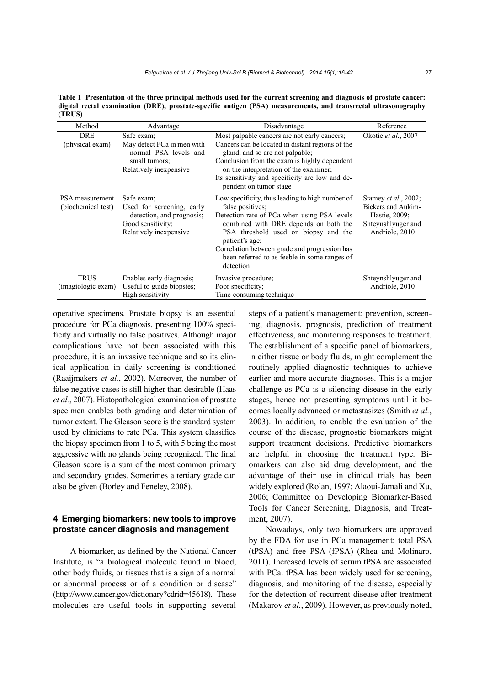**Table 1 Presentation of the three principal methods used for the current screening and diagnosis of prostate cancer: digital rectal examination (DRE), prostate-specific antigen (PSA) measurements, and transrectal ultrasonography (TRUS)** 

| Method                                | Advantage                                                                                                           | Disadvantage                                                                                                                                                                                                                                                                                                                        | Reference                                                                                                   |
|---------------------------------------|---------------------------------------------------------------------------------------------------------------------|-------------------------------------------------------------------------------------------------------------------------------------------------------------------------------------------------------------------------------------------------------------------------------------------------------------------------------------|-------------------------------------------------------------------------------------------------------------|
| <b>DRE</b><br>(physical exam)         | Safe exam:<br>May detect PCa in men with<br>normal PSA levels and<br>small tumors:<br>Relatively inexpensive        | Most palpable cancers are not early cancers;<br>Cancers can be located in distant regions of the<br>gland, and so are not palpable;<br>Conclusion from the exam is highly dependent<br>on the interpretation of the examiner;<br>Its sensitivity and specificity are low and de-<br>pendent on tumor stage                          | Okotie et al., 2007                                                                                         |
| PSA measurement<br>(biochemical test) | Safe exam:<br>Used for screening, early<br>detection, and prognosis;<br>Good sensitivity;<br>Relatively inexpensive | Low specificity, thus leading to high number of<br>false positives;<br>Detection rate of PCa when using PSA levels<br>combined with DRE depends on both the<br>PSA threshold used on biopsy and the<br>patient's age;<br>Correlation between grade and progression has<br>been referred to as feeble in some ranges of<br>detection | Stamey <i>et al.</i> , 2002;<br>Bickers and Aukim-<br>Hastie, 2009;<br>Shteynshlyuger and<br>Andriole, 2010 |
| <b>TRUS</b><br>(imagiologic exam)     | Enables early diagnosis;<br>Useful to guide biopsies;<br>High sensitivity                                           | Invasive procedure;<br>Poor specificity;<br>Time-consuming technique                                                                                                                                                                                                                                                                | Shteynshlyuger and<br>Andriole, 2010                                                                        |

operative specimens. Prostate biopsy is an essential procedure for PCa diagnosis, presenting 100% specificity and virtually no false positives. Although major complications have not been associated with this procedure, it is an invasive technique and so its clinical application in daily screening is conditioned (Raaijmakers *et al.*, 2002). Moreover, the number of false negative cases is still higher than desirable (Haas *et al.*, 2007). Histopathological examination of prostate specimen enables both grading and determination of tumor extent. The Gleason score is the standard system used by clinicians to rate PCa. This system classifies the biopsy specimen from 1 to 5, with 5 being the most aggressive with no glands being recognized. The final Gleason score is a sum of the most common primary and secondary grades. Sometimes a tertiary grade can also be given (Borley and Feneley, 2008).

## **4 Emerging biomarkers: new tools to improve prostate cancer diagnosis and management**

A biomarker, as defined by the National Cancer Institute, is "a biological molecule found in blood, other body fluids, or tissues that is a sign of a normal or abnormal process or of a condition or disease" (http://www.cancer.gov/dictionary?cdrid=45618). These molecules are useful tools in supporting several steps of a patient's management: prevention, screening, diagnosis, prognosis, prediction of treatment effectiveness, and monitoring responses to treatment. The establishment of a specific panel of biomarkers, in either tissue or body fluids, might complement the routinely applied diagnostic techniques to achieve earlier and more accurate diagnoses. This is a major challenge as PCa is a silencing disease in the early stages, hence not presenting symptoms until it becomes locally advanced or metastasizes (Smith *et al.*, 2003). In addition, to enable the evaluation of the course of the disease, prognostic biomarkers might support treatment decisions. Predictive biomarkers are helpful in choosing the treatment type. Biomarkers can also aid drug development, and the advantage of their use in clinical trials has been widely explored (Rolan, 1997; Alaoui-Jamali and Xu, 2006; Committee on Developing Biomarker-Based Tools for Cancer Screening, Diagnosis, and Treatment, 2007).

Nowadays, only two biomarkers are approved by the FDA for use in PCa management: total PSA (tPSA) and free PSA (fPSA) (Rhea and Molinaro, 2011). Increased levels of serum tPSA are associated with PCa. tPSA has been widely used for screening, diagnosis, and monitoring of the disease, especially for the detection of recurrent disease after treatment (Makarov *et al.*, 2009). However, as previously noted,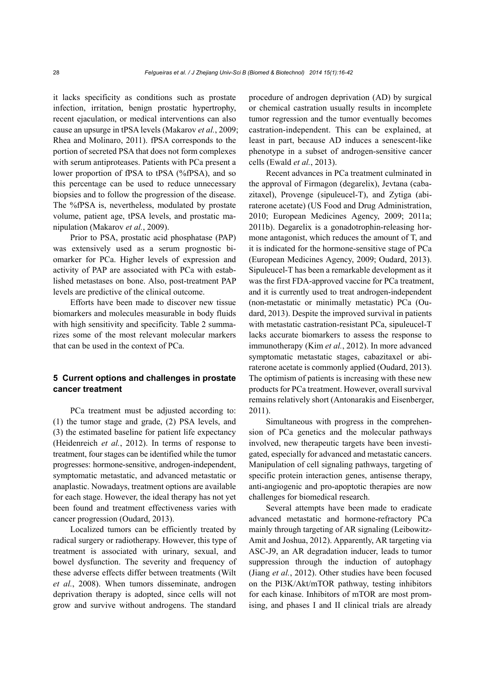it lacks specificity as conditions such as prostate infection, irritation, benign prostatic hypertrophy, recent ejaculation, or medical interventions can also cause an upsurge in tPSA levels (Makarov *et al.*, 2009; Rhea and Molinaro, 2011). fPSA corresponds to the portion of secreted PSA that does not form complexes with serum antiproteases. Patients with PCa present a lower proportion of fPSA to tPSA (%fPSA), and so this percentage can be used to reduce unnecessary biopsies and to follow the progression of the disease. The %fPSA is, nevertheless, modulated by prostate volume, patient age, tPSA levels, and prostatic manipulation (Makarov *et al.*, 2009).

Prior to PSA, prostatic acid phosphatase (PAP) was extensively used as a serum prognostic biomarker for PCa. Higher levels of expression and activity of PAP are associated with PCa with established metastases on bone. Also, post-treatment PAP levels are predictive of the clinical outcome.

Efforts have been made to discover new tissue biomarkers and molecules measurable in body fluids with high sensitivity and specificity. Table 2 summarizes some of the most relevant molecular markers that can be used in the context of PCa.

## **5 Current options and challenges in prostate cancer treatment**

PCa treatment must be adjusted according to: (1) the tumor stage and grade, (2) PSA levels, and (3) the estimated baseline for patient life expectancy (Heidenreich *et al.*, 2012). In terms of response to treatment, four stages can be identified while the tumor progresses: hormone-sensitive, androgen-independent, symptomatic metastatic, and advanced metastatic or anaplastic. Nowadays, treatment options are available for each stage. However, the ideal therapy has not yet been found and treatment effectiveness varies with cancer progression (Oudard, 2013).

Localized tumors can be efficiently treated by radical surgery or radiotherapy. However, this type of treatment is associated with urinary, sexual, and bowel dysfunction. The severity and frequency of these adverse effects differ between treatments (Wilt *et al.*, 2008). When tumors disseminate, androgen deprivation therapy is adopted, since cells will not grow and survive without androgens. The standard procedure of androgen deprivation (AD) by surgical or chemical castration usually results in incomplete tumor regression and the tumor eventually becomes castration-independent. This can be explained, at least in part, because AD induces a senescent-like phenotype in a subset of androgen-sensitive cancer cells (Ewald *et al.*, 2013).

Recent advances in PCa treatment culminated in the approval of Firmagon (degarelix), Jevtana (cabazitaxel), Provenge (sipuleucel-T), and Zytiga (abiraterone acetate) (US Food and Drug Administration, 2010; European Medicines Agency, 2009; 2011a; 2011b). Degarelix is a gonadotrophin-releasing hormone antagonist, which reduces the amount of T, and it is indicated for the hormone-sensitive stage of PCa (European Medicines Agency, 2009; Oudard, 2013). Sipuleucel-T has been a remarkable development as it was the first FDA-approved vaccine for PCa treatment, and it is currently used to treat androgen-independent (non-metastatic or minimally metastatic) PCa (Oudard, 2013). Despite the improved survival in patients with metastatic castration-resistant PCa, sipuleucel-T lacks accurate biomarkers to assess the response to immunotherapy (Kim *et al.*, 2012). In more advanced symptomatic metastatic stages, cabazitaxel or abiraterone acetate is commonly applied (Oudard, 2013). The optimism of patients is increasing with these new products for PCa treatment. However, overall survival remains relatively short (Antonarakis and Eisenberger, 2011).

Simultaneous with progress in the comprehension of PCa genetics and the molecular pathways involved, new therapeutic targets have been investigated, especially for advanced and metastatic cancers. Manipulation of cell signaling pathways, targeting of specific protein interaction genes, antisense therapy, anti-angiogenic and pro-apoptotic therapies are now challenges for biomedical research.

Several attempts have been made to eradicate advanced metastatic and hormone-refractory PCa mainly through targeting of AR signaling (Leibowitz-Amit and Joshua, 2012). Apparently, AR targeting via ASC-J9, an AR degradation inducer, leads to tumor suppression through the induction of autophagy (Jiang *et al.*, 2012). Other studies have been focused on the PI3K/Akt/mTOR pathway, testing inhibitors for each kinase. Inhibitors of mTOR are most promising, and phases I and II clinical trials are already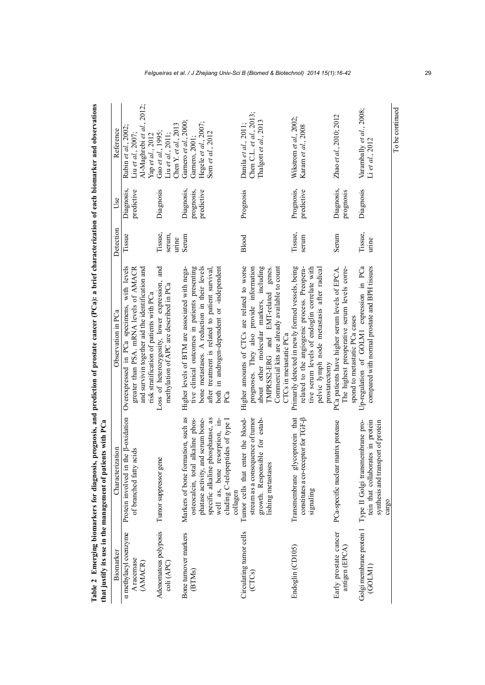|                                         | that justify its use in the management of patients with PCa                                                                                   |                                                                                                                                                                                                                  |                            |                                        |                                                                  |
|-----------------------------------------|-----------------------------------------------------------------------------------------------------------------------------------------------|------------------------------------------------------------------------------------------------------------------------------------------------------------------------------------------------------------------|----------------------------|----------------------------------------|------------------------------------------------------------------|
| Bionarker                               | Characterization                                                                                                                              | Observation in PCa                                                                                                                                                                                               | Detection                  | Use                                    | Reference                                                        |
| a methylacyl coenzyme<br>A racemase     | the $\beta$ -oxidation<br>acids<br>of branched fatty<br>Protein involved in                                                                   | with levels<br>greater than PSA. mRNA levels of AMACR<br>Overexpressed in PCa specimens,                                                                                                                         | Tissue                     | predictive<br>Diagnosis,               | Rubin et al., 2002;<br>Liu et al., 2007;                         |
| (AMACR)                                 |                                                                                                                                               | and survivin together aid the identification and<br>risk stratification of patients with PCa                                                                                                                     |                            |                                        | Al-Maghrebi et al., 2012;<br>Yap et al., 2012                    |
| Adenomatous polyposis<br>coli (APC)     | Tumor suppressor gene                                                                                                                         | and<br>Loss of heterozygosity, lower expression,<br>methylation of APC are described in PCa                                                                                                                      | Tissue,<br>serum,<br>urine | Diagnosis                              | Chen Y. et al., $2013$<br>Gao et al., 1995;<br>Liu et al., 2011; |
| Bone turnover markers<br>(BTMs)         | Markers of bone formation, such as<br>phatase activity, and serum bone-<br>osteocalcin, total alkaline phos-                                  | tive clinical outcomes in patients presenting<br>bone metastases. A reduction in their levels<br>Higher levels of BTM are associated with nega-                                                                  | Serum                      | Diagnosis,<br>prognosis,<br>predictive | Gamero et al., 2000;<br>Hegele et al., 2007;<br>Garnero, 2001;   |
|                                         | phosphatase, as<br>well as, bone resorption, m-<br>cluding C-telopeptides of type I<br>specific alkaline<br>collagen                          | both in androgen-dependent or -independent<br>after treatment is related to patient survival,<br>PCa                                                                                                             |                            |                                        | Som et al., 2012                                                 |
| Circulating tumor cells                 | Tumor cells that enter the blood-                                                                                                             | Higher amounts of CTCs are related to worse                                                                                                                                                                      | Blood                      | Prognosis                              | Danila et al., 2011;                                             |
| (CTCs)                                  | stream as a consequence of tumor<br>growth. Responsible for estab-<br>lishing metastases                                                      | prognoses. They also provide information<br>about other molecular markers, including<br>Commercial kits are already available to count<br>TMPRSS2-ERG and EMT-related genes.<br>CTCs in metastatic PCa           |                            |                                        | Chen C.L. et al., $2013$ ;<br>Thalgott et al., 2013              |
| Endoglin (CD105)                        | Transmembrane glycoprotein that<br>constitutes a co-receptor for TGF- $\beta$<br>signaling                                                    | Primarily detected in newly formed vessels, being<br>pelvic lymph node metastasis after radical<br>related to the angiogenic process. Preopera-<br>tive serum levels of endoglin correlate with<br>prostatectomy | Tissue,<br>serum           | Prognosis,<br>predictive               | Wikstrom et al., 2002;<br>Karam et al., 2008                     |
| Early prostate cancer<br>antigen (EPCA) | PCa-specific nuclear matrix protease                                                                                                          | The highest preoperative serum levels corre-<br>PCa patients have higher serum levels of EPCA<br>spond to metastatic PCa cases                                                                                   | Serum                      | Diagnosis,<br>prognosis                | Zhao et al., 2010; 2012                                          |
| (GOLMI)                                 | synthesis and transport of protein<br>Golgi membrane protein 1 Type II Golgi transmembrane pro-<br>tein that collaborates in protein<br>cargo | Up-regulation of GOLM1 expression in PCa<br>compared with normal prostate and BPH tissues                                                                                                                        | Tissue,<br>urine           | Diagnosis                              | Varambally et al., 2008;<br>$Li$ et al., $2012$                  |

Table 2 Emerging biomarkers for diagnosis, prognosis, and prediction of prostate cancer (PCa): a brief characterization of each biomarker and observations **Table 2 Emerging biomarkers for diagnosis, prognosis, and prediction of prostate cancer (PCa): a brief characterization of each biomarker and observations** 

*Felgueiras et al. / J Zhejiang Univ-Sci B (Biomed & Biotechnol) 2014 15(1):16-42* 29

To be continued

To be continued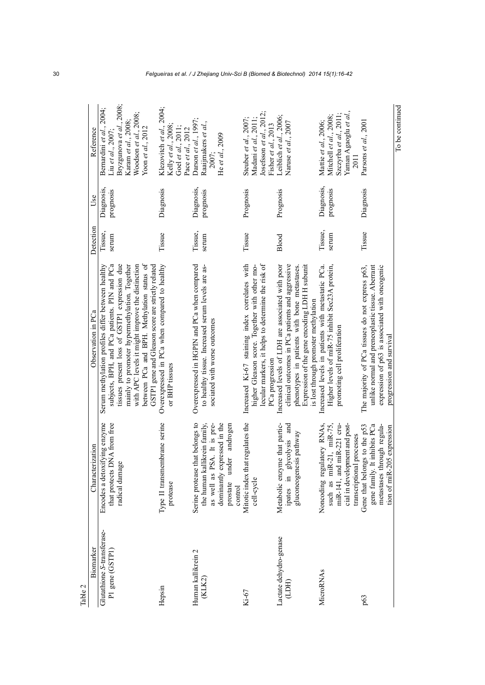| Table 2                                       |                                                                                                                                                                    |                                                                                                                                                                                                                                                                                                      |                  |                         |                                                                                                                                                          |
|-----------------------------------------------|--------------------------------------------------------------------------------------------------------------------------------------------------------------------|------------------------------------------------------------------------------------------------------------------------------------------------------------------------------------------------------------------------------------------------------------------------------------------------------|------------------|-------------------------|----------------------------------------------------------------------------------------------------------------------------------------------------------|
| Biomarker                                     | Characterization                                                                                                                                                   | Observation in PCa                                                                                                                                                                                                                                                                                   | Detection        | Use                     | Reference                                                                                                                                                |
| Glutathione S-transferase-<br>P1 gene (GSTP1) | Encodes a detoxifying enzyme<br>that protects DNA from free<br>radical damage                                                                                      | between PCa and BPH. Methylation status of<br>with APC levels it might improve the distinction<br>subjects, BPH, and PCa patients. PIN and PCa<br>tissues present loss of GSTP1 expression due<br>mainly to promoter hypermethylation. Together<br>Serum methylation profiles differ between healthy | Tissue,<br>serum | Diagnosis,<br>prognosis | .2008;<br>Bernardini et al., 2004;<br>Woodson et al., 2008;<br>Karam et al., 2008<br>Bryzgunova <i>et al</i> .,<br>Yoon et al., 2012<br>Liu et al., 2007 |
| Hepsin                                        | Type II transmembrane serine<br>protease                                                                                                                           | GSTP1 gene and Gleason score are strictly related<br>Overexpressed in PCa when compared to healthy<br>or BHP tissues                                                                                                                                                                                 | Tissue           | Diagnosis               | Klezovitch et al., 2004;<br>Kelly et al., 2008<br>Goel et al., 2011;<br>Pace et al., 2012                                                                |
| Human kallikrein 2<br>(KLK2)                  | Serine protease that belongs to<br>as well as PSA. It is pre-<br>dominantly expressed in the<br>the human kallikrein family,<br>prostate under androgen<br>control | Overexpressed in HGPIN and PCa when compared<br>to healthy tissue. Increased serum levels are as-<br>sociated with worse outcomes                                                                                                                                                                    | Tissue,<br>serum | Diagnosis,<br>prognosis | Darson et al., 1997;<br>Raaijmakers et al.,<br>He et al., 2009<br><b>2007;</b>                                                                           |
| Ki-67                                         | Mitotic index that regulates the<br>cell-cycle                                                                                                                     | lecular markers, it helps to determine the risk of<br>Increased Ki-67 staining index correlates with<br>higher Gleason score. Together with other mo-<br>PCa progression                                                                                                                             | Tissue           | Prognosis               | Josefsson et al., 2012;<br>Steuber et al., 2007;<br>Madani et al., 2011,<br>Fisher et al., 2013                                                          |
| Lactate dehydro-genase<br>(LDH)               | Metabolic enzyme that partic-<br>ipates in glycolysis and<br>gluconeogenesis pathway                                                                               | Increased levels of LDH are associated with poor<br>clinical outcomes in PCa patients and aggressive<br>Expression of the gene encoding LDH H subunit<br>phenotypes in patients with bone metastases.<br>is lost through promoter methylation                                                        | Blood            | Prognosis               | Leiblich et al., 2006;<br>Naruse et al., 2007                                                                                                            |
| MicroRNAs                                     | miR-221 cru-<br>cial in development and post-<br>Noncoding regulatory RNAs,<br>such as miR-21, miR-75,<br>transcriptional processes<br>miR-141, and                | Increased levels in patients with metastatic PCa.<br>Higher levels of miR-75 inhibit Sec23A protein,<br>promoting cell proliferation                                                                                                                                                                 | Tissue,<br>serum | Diagnosis,<br>prognosis | Yaman Agaoglu et al.,<br>Szczyrba et al., 2011;<br>Mitchell et al., 2008;<br>Mattie et al., 2006;<br>2011                                                |
| p63                                           | gene family. It inhibits PCa<br>metastases through regula-<br>Gene that belongs to the p53<br>5 expression<br>tion of miR-20                                       | expression of p63 is associated with oncogenic<br>The majority of PCa tissues do not express p63,<br>unlike normal and preneoplastic tissue. Aberrant<br>progression and survival                                                                                                                    | Tissue           | Diagnosis               | Parsons et al., 2001                                                                                                                                     |
|                                               |                                                                                                                                                                    |                                                                                                                                                                                                                                                                                                      |                  |                         | To be continued                                                                                                                                          |

30 *Felgueiras et al. / J Zhejiang Univ-Sci B (Biomed & Biotechnol) 2014 15(1):16-42*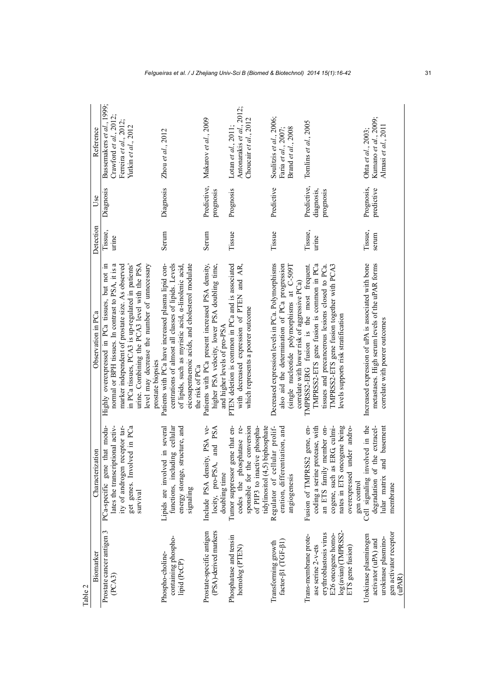| Table 2                                                                                                                                  |                                                                                                                                                                                          |                                                                                                                                                                                                                                                                                                                |                  |                                        |                                                                                                         |
|------------------------------------------------------------------------------------------------------------------------------------------|------------------------------------------------------------------------------------------------------------------------------------------------------------------------------------------|----------------------------------------------------------------------------------------------------------------------------------------------------------------------------------------------------------------------------------------------------------------------------------------------------------------|------------------|----------------------------------------|---------------------------------------------------------------------------------------------------------|
| Biomarker                                                                                                                                | Characterization                                                                                                                                                                         | Observation in PCa                                                                                                                                                                                                                                                                                             | Detection        | Use                                    | Reference                                                                                               |
| Prostate cancer antigen 3<br>(PCA3)                                                                                                      | that modu-<br>ity of androgen receptor tar-<br>get genes. Involved in PCa<br>lates the transcriptional activ-<br>PCa-specific gene<br>survival                                           | normal or BPH tissues. In contrast to PSA, it is a<br>in PCa tissues, PCA3 is up-regulated in patients'<br>Highly overexpressed in PCa tissues, but not in<br>marker independent of prostate size. As observed<br>urine. Combining the PCA3 level with the PSA<br>level may decrease the number of unnecessary | Tissue,<br>urme  | Diagnosis                              | Bussemakers et al., 1999;<br>Crawford et al., $2012$ ;<br>Ferreira et al., 2012;<br>Yutkin et al., 2012 |
| containing phospho-<br>Phospho-choline-<br>lipid (PcCP)                                                                                  | structure, and<br>Lipids are involved in several<br>functions, including cellular<br>energy storage,<br>signaling                                                                        | centrations of almost all classes of lipids. Levels<br>Patients with PCa have increased plasma lipid con-<br>eicosapentaenoic acids, and cholesterol modulate<br>of lipids, such as myristic acid, a-linolenic acid,<br>prostate biopsies<br>the risk of PCa                                                   | Serum            | Diagnosis                              | Zhou et al., $2012$                                                                                     |
| PSA)-derived markers<br>Prostate-specific antigen                                                                                        | Include PSA density, PSA ve-<br>locity, pro-PSA, and PSA<br>doubling time                                                                                                                | Patients with PCa present increased PSA density,<br>higher PSA velocity, lower PSA doubling time,<br>and higher levels of pro-PSA                                                                                                                                                                              | Serum            | Predictive,<br>prognosis               | Makarov et al., 2009                                                                                    |
| Phosphatase and tensin<br>homolog (PTEN)                                                                                                 | gene that en-<br>codes the phosphatase re-<br>sponsible for the conversion<br>of PIP3 to inactive phospha-<br>Tumor suppressor                                                           | PTEN deletion is common in PCa and is associated<br>with decreased expression of PTEN and AR,<br>which represents a poorer outcome                                                                                                                                                                             | Tissue           | Prognosis                              | Antonarakis et al., 2012;<br>Choucair et al., 2012<br>Lotan et al., 2011;                               |
| $\begin{array}{c} \text{Transforming growth} \\ \text{factor-}\beta1 \text{ (TGF-}\beta1) \end{array}$                                   | tidylinositol (4,5) biphosphate<br>Regulator of cellular prolif-<br>eration, differentiation, and<br>angiogenesis                                                                        | Decreased expression levels in PCa. Polymorphisms<br>(single nucleotide polymorphisms at C-509T<br>also aid the determination of PCa progression<br>correlate with lower risk of aggressive PCa)                                                                                                               | Tissue           | Predictive                             | Soulitzis et al., 2006;<br>Brand et al., 2008<br>Faria et al., 2007;                                    |
| log (avian) (TMPRSS2-<br>erythroblastosis virus<br>E26 oncogene homo-<br>Trans-membrane prote-<br>ase serine 2-v-ets<br>ETS gene fusion) | nates in ETS oncogene being<br>Fusion of TMPRSS2 gene, en-<br>coding a serine protease, with<br>an ETS family member on-<br>cogene, such as ERG, culmi-<br>under andro-<br>overexpressed | TMPRSS2-ETS gene fusion is common in PCa<br>TMPRSS2-ETS gene fusion together with PCA3<br>TMPRSS2-ERG fusion is the most frequent.<br>tissues and precancerous lesions closed to PCa.<br>levels supports risk stratification                                                                                   | Tissue,<br>urine | Predictive,<br>diagnosis,<br>prognosis | Tomlins et al., 2005                                                                                    |
| gen activator receptor<br>Urokinase plasminogen<br>urokinase plasmino-<br>activator (uPA) and<br>uPAR                                    | Cell signaling involved in the<br>the extracel-<br>and basement<br>degradation of<br>lular matrix<br>gen control<br>membrane                                                             | Increased expression of uPA is associated with bone<br>metastases. High serum levels of the uPAR forms<br>correlate with poorer outcomes                                                                                                                                                                       | Tissue,<br>serum | Prognosis,<br>predictive               | Kumano et al., 2009;<br>Almasi et al., 2011<br>Ohta et $al$ , 2003;                                     |

*Felgueiras et al. / J Zhejiang Univ-Sci B (Biomed & Biotechnol) 2014 15(1):16-42* 31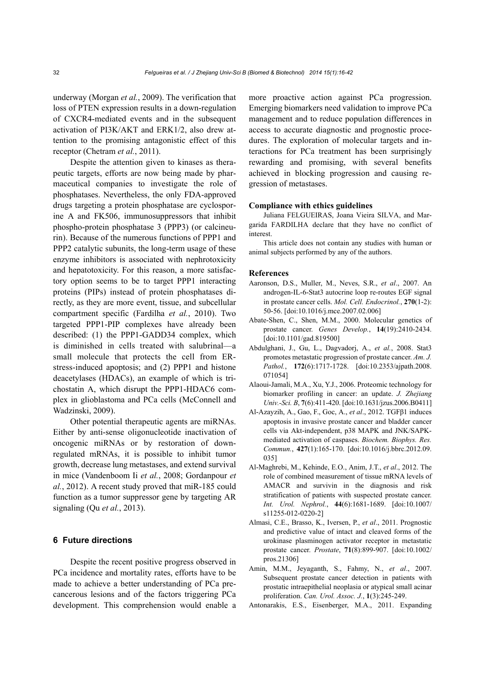underway (Morgan *et al.*, 2009). The verification that loss of PTEN expression results in a down-regulation of CXCR4-mediated events and in the subsequent activation of PI3K/AKT and ERK1/2, also drew attention to the promising antagonistic effect of this receptor (Chetram *et al.*, 2011).

Despite the attention given to kinases as therapeutic targets, efforts are now being made by pharmaceutical companies to investigate the role of phosphatases. Nevertheless, the only FDA-approved drugs targeting a protein phosphatase are cyclosporine A and FK506, immunosuppressors that inhibit phospho-protein phosphatase 3 (PPP3) (or calcineurin). Because of the numerous functions of PPP1 and PPP2 catalytic subunits, the long-term usage of these enzyme inhibitors is associated with nephrotoxicity and hepatotoxicity. For this reason, a more satisfactory option seems to be to target PPP1 interacting proteins (PIPs) instead of protein phosphatases directly, as they are more event, tissue, and subcellular compartment specific (Fardilha *et al.*, 2010). Two targeted PPP1-PIP complexes have already been described: (1) the PPP1-GADD34 complex, which is diminished in cells treated with salubrinal—a small molecule that protects the cell from ERstress-induced apoptosis; and (2) PPP1 and histone deacetylases (HDACs), an example of which is trichostatin A, which disrupt the PPP1-HDAC6 complex in glioblastoma and PCa cells (McConnell and Wadzinski, 2009).

Other potential therapeutic agents are miRNAs. Either by anti-sense oligonucleotide inactivation of oncogenic miRNAs or by restoration of downregulated mRNAs, it is possible to inhibit tumor growth, decrease lung metastases, and extend survival in mice (Vandenboom Ii *et al.*, 2008; Gordanpour *et al.*, 2012). A recent study proved that miR-185 could function as a tumor suppressor gene by targeting AR signaling (Qu *et al.*, 2013).

## **6 Future directions**

Despite the recent positive progress observed in PCa incidence and mortality rates, efforts have to be made to achieve a better understanding of PCa precancerous lesions and of the factors triggering PCa development. This comprehension would enable a more proactive action against PCa progression. Emerging biomarkers need validation to improve PCa management and to reduce population differences in access to accurate diagnostic and prognostic procedures. The exploration of molecular targets and interactions for PCa treatment has been surprisingly rewarding and promising, with several benefits achieved in blocking progression and causing regression of metastases.

#### **Compliance with ethics guidelines**

Juliana FELGUEIRAS, Joana Vieira SILVA, and Margarida FARDILHA declare that they have no conflict of interest.

This article does not contain any studies with human or animal subjects performed by any of the authors.

#### **References**

- Aaronson, D.S., Muller, M., Neves, S.R., *et al*., 2007. An androgen-IL-6-Stat3 autocrine loop re-routes EGF signal in prostate cancer cells. *Mol. Cell. Endocrinol.*, **270**(1-2): 50-56. [doi:10.1016/j.mce.2007.02.006]
- Abate-Shen, C., Shen, M.M., 2000. Molecular genetics of prostate cancer. *Genes Develop.*, **14**(19):2410-2434. [doi:10.1101/gad.819500]
- Abdulghani, J., Gu, L., Dagvadorj, A., *et al.*, 2008. Stat3 promotes metastatic progression of prostate cancer. *Am. J. Pathol.*, **172**(6):1717-1728. [doi:10.2353/ajpath.2008. 071054]
- Alaoui-Jamali, M.A., Xu, Y.J., 2006. Proteomic technology for biomarker profiling in cancer: an update. *J. Zhejiang Univ.-Sci. B*, **7**(6):411-420. [doi:10.1631/jzus.2006.B0411]
- Al-Azayzih, A., Gao, F., Goc, A., *et al*., 2012. TGFβ1 induces apoptosis in invasive prostate cancer and bladder cancer cells via Akt-independent, p38 MAPK and JNK/SAPKmediated activation of caspases. *Biochem. Biophys. Res. Commun.*, **427**(1):165-170. [doi:10.1016/j.bbrc.2012.09. 035]
- Al-Maghrebi, M., Kehinde, E.O., Anim, J.T., *et al*., 2012. The role of combined measurement of tissue mRNA levels of AMACR and survivin in the diagnosis and risk stratification of patients with suspected prostate cancer. *Int. Urol. Nephrol.*, **44**(6):1681-1689. [doi:10.1007/ s11255-012-0220-2]
- Almasi, C.E., Brasso, K., Iversen, P., *et al*., 2011. Prognostic and predictive value of intact and cleaved forms of the urokinase plasminogen activator receptor in metastatic prostate cancer. *Prostate*, **71**(8):899-907. [doi:10.1002/ pros.21306]
- Amin, M.M., Jeyaganth, S., Fahmy, N., *et al*., 2007. Subsequent prostate cancer detection in patients with prostatic intraepithelial neoplasia or atypical small acinar proliferation. *Can. Urol. Assoc. J.*, **1**(3):245-249.
- Antonarakis, E.S., Eisenberger, M.A., 2011. Expanding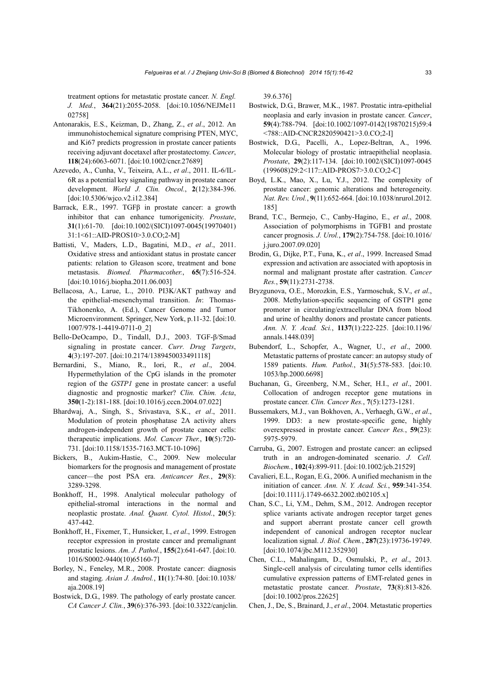treatment options for metastatic prostate cancer. *N. Engl. J. Med.*, **364**(21):2055-2058. [doi:10.1056/NEJMe11 02758]

- Antonarakis, E.S., Keizman, D., Zhang, Z., *et al*., 2012. An immunohistochemical signature comprising PTEN, MYC, and Ki67 predicts progression in prostate cancer patients receiving adjuvant docetaxel after prostatectomy. *Cancer*, **118**(24):6063-6071. [doi:10.1002/cncr.27689]
- Azevedo, A., Cunha, V., Teixeira, A.L., *et al*., 2011. IL-6/IL-6R as a potential key signaling pathway in prostate cancer development. *World J. Clin. Oncol.*, **2**(12):384-396. [doi:10.5306/wjco.v2.i12.384]
- Barrack, E.R., 1997. TGFβ in prostate cancer: a growth inhibitor that can enhance tumorigenicity. *Prostate*, **31**(1):61-70. [doi:10.1002/(SICI)1097-0045(19970401) 31:1<61::AID-PROS10>3.0.CO;2-M]
- Battisti, V., Maders, L.D., Bagatini, M.D., *et al*., 2011. Oxidative stress and antioxidant status in prostate cancer patients: relation to Gleason score, treatment and bone metastasis. *Biomed. Pharmacother.*, **65**(7):516-524. [doi:10.1016/j.biopha.2011.06.003]
- Bellacosa, A., Larue, L., 2010. PI3K/AKT pathway and the epithelial-mesenchymal transition. *In*: Thomas-Tikhonenko, A. (Ed.), Cancer Genome and Tumor Microenvironment. Springer, New York, p.11-32. [doi:10. 1007/978-1-4419-0711-0\_2]
- Bello-DeOcampo, D., Tindall, D.J., 2003. TGF-β/Smad signaling in prostate cancer. *Curr. Drug Targets*, **4**(3):197-207. [doi:10.2174/1389450033491118]
- Bernardini, S., Miano, R., Iori, R., *et al*., 2004. Hypermethylation of the CpG islands in the promoter region of the *GSTP1* gene in prostate cancer: a useful diagnostic and prognostic marker? *Clin. Chim. Acta*, **350**(1-2):181-188. [doi:10.1016/j.cccn.2004.07.022]
- Bhardwaj, A., Singh, S., Srivastava, S.K., *et al*., 2011. Modulation of protein phosphatase 2A activity alters androgen-independent growth of prostate cancer cells: therapeutic implications. *Mol. Cancer Ther.*, **10**(5):720- 731. [doi:10.1158/1535-7163.MCT-10-1096]
- Bickers, B., Aukim-Hastie, C., 2009. New molecular biomarkers for the prognosis and management of prostate cancer—the post PSA era. *Anticancer Res.*, **29**(8): 3289-3298.
- Bonkhoff, H., 1998. Analytical molecular pathology of epithelial-stromal interactions in the normal and neoplastic prostate. *Anal. Quant. Cytol. Histol.*, **20**(5): 437-442.
- Bonkhoff, H., Fixemer, T., Hunsicker, I., *et al*., 1999. Estrogen receptor expression in prostate cancer and premalignant prostatic lesions. *Am. J. Pathol.*, **155**(2):641-647. [doi:10. 1016/S0002-9440(10)65160-7]
- Borley, N., Feneley, M.R., 2008. Prostate cancer: diagnosis and staging. *Asian J. Androl.*, **11**(1):74-80. [doi:10.1038/ aja.2008.19]
- Bostwick, D.G., 1989. The pathology of early prostate cancer. *CA Cancer J. Clin.*, **39**(6):376-393. [doi:10.3322/canjclin.

39.6.376]

- Bostwick, D.G., Brawer, M.K., 1987. Prostatic intra-epithelial neoplasia and early invasion in prostate cancer. *Cancer*, **59**(4):788-794. [doi:10.1002/1097-0142(19870215)59:4 <788::AID-CNCR2820590421>3.0.CO;2-I]
- Bostwick, D.G., Pacelli, A., Lopez-Beltran, A., 1996. Molecular biology of prostatic intraepithelial neoplasia. *Prostate*, **29**(2):117-134. [doi:10.1002/(SICI)1097-0045 (199608)29:2<117::AID-PROS7>3.0.CO;2-C]
- Boyd, L.K., Mao, X., Lu, Y.J., 2012. The complexity of prostate cancer: genomic alterations and heterogeneity. *Nat. Rev. Urol.*, **9**(11):652-664. [doi:10.1038/nrurol.2012. 185]
- Brand, T.C., Bermejo, C., Canby-Hagino, E., *et al*., 2008. Association of polymorphisms in TGFB1 and prostate cancer prognosis. *J. Urol.*, **179**(2):754-758. [doi:10.1016/ j.juro.2007.09.020]
- Brodin, G., Dijke, P.T., Funa, K., *et al*., 1999. Increased Smad expression and activation are associated with apoptosis in normal and malignant prostate after castration. *Cancer Res.*, **59**(11):2731-2738.
- Bryzgunova, O.E., Morozkin, E.S., Yarmoschuk, S.V., *et al*., 2008. Methylation-specific sequencing of GSTP1 gene promoter in circulating/extracellular DNA from blood and urine of healthy donors and prostate cancer patients. *Ann. N. Y. Acad. Sci.*, **1137**(1):222-225. [doi:10.1196/ annals.1448.039]
- Bubendorf, L., Schopfer, A., Wagner, U., *et al*., 2000. Metastatic patterns of prostate cancer: an autopsy study of 1589 patients. *Hum. Pathol.*, **31**(5):578-583. [doi:10. 1053/hp.2000.6698]
- Buchanan, G., Greenberg, N.M., Scher, H.I., *et al*., 2001. Collocation of androgen receptor gene mutations in prostate cancer. *Clin. Cancer Res.*, **7**(5):1273-1281.
- Bussemakers, M.J., van Bokhoven, A., Verhaegh, G.W., *et al*., 1999. DD3: a new prostate-specific gene, highly overexpressed in prostate cancer. *Cancer Res.*, **59**(23): 5975-5979.
- Carruba, G., 2007. Estrogen and prostate cancer: an eclipsed truth in an androgen-dominated scenario. *J. Cell. Biochem.*, **102**(4):899-911. [doi:10.1002/jcb.21529]
- Cavalieri, E.L., Rogan, E.G., 2006. A unified mechanism in the initiation of cancer. *Ann. N. Y. Acad. Sci.*, **959**:341-354. [doi:10.1111/j.1749-6632.2002.tb02105.x]
- Chan, S.C., Li, Y.M., Dehm, S.M., 2012. Androgen receptor splice variants activate androgen receptor target genes and support aberrant prostate cancer cell growth independent of canonical androgen receptor nuclear localization signal. *J. Biol. Chem.*, **287**(23):19736-19749. [doi:10.1074/jbc.M112.352930]
- Chen, C.L., Mahalingam, D., Osmulski, P., *et al*., 2013. Single-cell analysis of circulating tumor cells identifies cumulative expression patterns of EMT-related genes in metastatic prostate cancer. *Prostate*, **73**(8):813-826. [doi:10.1002/pros.22625]
- Chen, J., De, S., Brainard, J., *et al*., 2004. Metastatic properties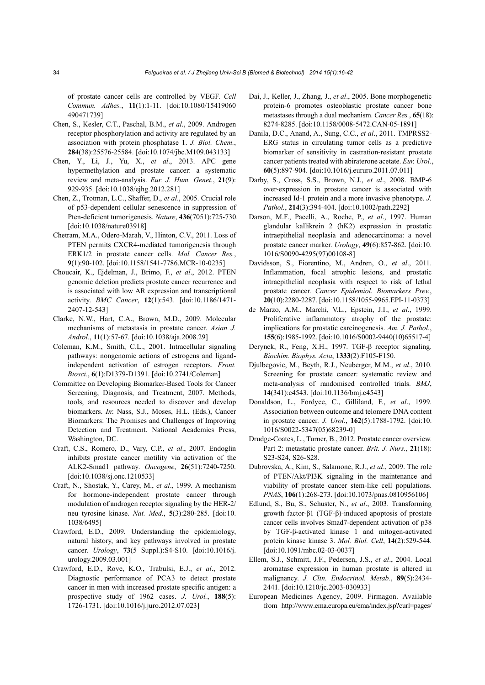of prostate cancer cells are controlled by VEGF. *Cell Commun. Adhes.*, **11**(1):1-11. [doi:10.1080/15419060 490471739]

- Chen, S., Kesler, C.T., Paschal, B.M., *et al*., 2009. Androgen receptor phosphorylation and activity are regulated by an association with protein phosphatase 1. *J. Biol. Chem.*, **284**(38):25576-25584. [doi:10.1074/jbc.M109.043133]
- Chen, Y., Li, J., Yu, X., *et al*., 2013. APC gene hypermethylation and prostate cancer: a systematic review and meta-analysis. *Eur. J. Hum. Genet.*, **21**(9): 929-935. [doi:10.1038/ejhg.2012.281]
- Chen, Z., Trotman, L.C., Shaffer, D., *et al*., 2005. Crucial role of p53-dependent cellular senescence in suppression of Pten-deficient tumorigenesis. *Nature*, **436**(7051):725-730. [doi:10.1038/nature03918]
- Chetram, M.A., Odero-Marah, V., Hinton, C.V., 2011. Loss of PTEN permits CXCR4-mediated tumorigenesis through ERK1/2 in prostate cancer cells. *Mol. Cancer Res.*, **9**(1):90-102. [doi:10.1158/1541-7786.MCR-10-0235]
- Choucair, K., Ejdelman, J., Brimo, F., *et al*., 2012. PTEN genomic deletion predicts prostate cancer recurrence and is associated with low AR expression and transcriptional activity. *BMC Cancer*, **12**(1):543. [doi:10.1186/1471- 2407-12-543]
- Clarke, N.W., Hart, C.A., Brown, M.D., 2009. Molecular mechanisms of metastasis in prostate cancer. *Asian J. Androl.*, **11**(1):57-67. [doi:10.1038/aja.2008.29]
- Coleman, K.M., Smith, C.L., 2001. Intracellular signaling pathways: nongenomic actions of estrogens and ligandindependent activation of estrogen receptors. *Front. Biosci.*, **6**(1):D1379-D1391. [doi:10.2741/Coleman]
- Committee on Developing Biomarker-Based Tools for Cancer Screening, Diagnosis, and Treatment, 2007. Methods, tools, and resources needed to discover and develop biomarkers. *In*: Nass, S.J., Moses, H.L. (Eds.), Cancer Biomarkers: The Promises and Challenges of Improving Detection and Treatment. National Academies Press, Washington, DC.
- Craft, C.S., Romero, D., Vary, C.P., *et al*., 2007. Endoglin inhibits prostate cancer motility via activation of the ALK2-Smad1 pathway. *Oncogene*, **26**(51):7240-7250. [doi:10.1038/sj.onc.1210533]
- Craft, N., Shostak, Y., Carey, M., *et al*., 1999. A mechanism for hormone-independent prostate cancer through modulation of androgen receptor signaling by the HER-2/ neu tyrosine kinase. *Nat. Med.*, **5**(3):280-285. [doi:10. 1038/6495]
- Crawford, E.D., 2009. Understanding the epidemiology, natural history, and key pathways involved in prostate cancer. *Urology*, **73**(5 Suppl.):S4-S10. [doi:10.1016/j. urology.2009.03.001]
- Crawford, E.D., Rove, K.O., Trabulsi, E.J., *et al*., 2012. Diagnostic performance of PCA3 to detect prostate cancer in men with increased prostate specific antigen: a prospective study of 1962 cases. *J. Urol.*, **188**(5): 1726-1731. [doi:10.1016/j.juro.2012.07.023]
- Dai, J., Keller, J., Zhang, J., *et al*., 2005. Bone morphogenetic protein-6 promotes osteoblastic prostate cancer bone metastases through a dual mechanism. *Cancer Res.*, **65**(18): 8274-8285. [doi:10.1158/0008-5472.CAN-05-1891]
- Danila, D.C., Anand, A., Sung, C.C., *et al*., 2011. TMPRSS2- ERG status in circulating tumor cells as a predictive biomarker of sensitivity in castration-resistant prostate cancer patients treated with abiraterone acetate. *Eur. Urol.*, **60**(5):897-904. [doi:10.1016/j.eururo.2011.07.011]
- Darby, S., Cross, S.S., Brown, N.J., *et al*., 2008. BMP-6 over-expression in prostate cancer is associated with increased Id-1 protein and a more invasive phenotype. *J. Pathol.*, **214**(3):394-404. [doi:10.1002/path.2292]
- Darson, M.F., Pacelli, A., Roche, P., *et al*., 1997. Human glandular kallikrein 2 (hK2) expression in prostatic intraepithelial neoplasia and adenocarcinoma: a novel prostate cancer marker. *Urology*, **49**(6):857-862. [doi:10. 1016/S0090-4295(97)00108-8]
- Davidsson, S., Fiorentino, M., Andren, O., *et al*., 2011. Inflammation, focal atrophic lesions, and prostatic intraepithelial neoplasia with respect to risk of lethal prostate cancer. *Cancer Epidemiol. Biomarkers Prev.*, **20**(10):2280-2287. [doi:10.1158/1055-9965.EPI-11-0373]
- de Marzo, A.M., Marchi, V.L., Epstein, J.I., *et al*., 1999. Proliferative inflammatory atrophy of the prostate: implications for prostatic carcinogenesis. *Am. J. Pathol.*, **155**(6):1985-1992. [doi:10.1016/S0002-9440(10)65517-4]
- Derynck, R., Feng, X.H., 1997. TGF-β receptor signaling. *Biochim. Biophys. Acta*, **1333**(2):F105-F150.
- Djulbegovic, M., Beyth, R.J., Neuberger, M.M., *et al*., 2010. Screening for prostate cancer: systematic review and meta-analysis of randomised controlled trials. *BMJ*, **14**(341):c4543. [doi:10.1136/bmj.c4543]
- Donaldson, L., Fordyce, C., Gilliland, F., *et al*., 1999. Association between outcome and telomere DNA content in prostate cancer. *J. Urol.*, **162**(5):1788-1792. [doi:10. 1016/S0022-5347(05)68239-0]
- Drudge-Coates, L., Turner, B., 2012. Prostate cancer overview. Part 2: metastatic prostate cancer. *Brit. J. Nurs.*, **21**(18): S23-S24, S26-S28.
- Dubrovska, A., Kim, S., Salamone, R.J., *et al*., 2009. The role of PTEN/Akt/PI3K signaling in the maintenance and viability of prostate cancer stem-like cell populations. *PNAS*, **106**(1):268-273. [doi:10.1073/pnas.0810956106]
- Edlund, S., Bu, S., Schuster, N., *et al*., 2003. Transforming growth factor-β1 (TGF-β)-induced apoptosis of prostate cancer cells involves Smad7-dependent activation of p38 by TGF-β-activated kinase 1 and mitogen-activated protein kinase kinase 3. *Mol. Biol. Cell*, **14**(2):529-544. [doi:10.1091/mbc.02-03-0037]
- Ellem, S.J., Schmitt, J.F., Pedersen, J.S., *et al*., 2004. Local aromatase expression in human prostate is altered in malignancy. *J. Clin. Endocrinol. Metab.*, **89**(5):2434- 2441. [doi:10.1210/jc.2003-030933]
- European Medicines Agency, 2009. Firmagon. Available from http://www.ema.europa.eu/ema/index.jsp?curl=pages/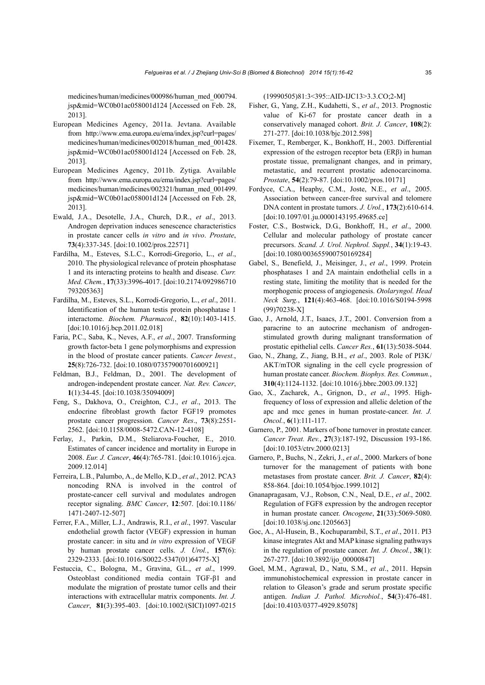medicines/human/medicines/000986/human\_med\_000794. jsp&mid=WC0b01ac058001d124 [Accessed on Feb. 28, 2013].

- European Medicines Agency, 2011a. Jevtana. Available from http://www.ema.europa.eu/ema/index.jsp?curl=pages/ medicines/human/medicines/002018/human\_med\_001428. jsp&mid=WC0b01ac058001d124 [Accessed on Feb. 28, 2013].
- European Medicines Agency, 2011b. Zytiga. Available from http://www.ema.europa.eu/ema/index.jsp?curl=pages/ medicines/human/medicines/002321/human\_med\_001499. jsp&mid=WC0b01ac058001d124 [Accessed on Feb. 28, 2013].
- Ewald, J.A., Desotelle, J.A., Church, D.R., *et al*., 2013. Androgen deprivation induces senescence characteristics in prostate cancer cells *in vitro* and *in vivo*. *Prostate*, **73**(4):337-345. [doi:10.1002/pros.22571]
- Fardilha, M., Esteves, S.L.C., Korrodi-Gregorio, L., *et al*., 2010. The physiological relevance of protein phosphatase 1 and its interacting proteins to health and disease. *Curr. Med. Chem.*, **17**(33):3996-4017. [doi:10.2174/092986710 793205363]
- Fardilha, M., Esteves, S.L., Korrodi-Gregorio, L., *et al*., 2011. Identification of the human testis protein phosphatase 1 interactome. *Biochem. Pharmacol.*, **82**(10):1403-1415. [doi:10.1016/j.bcp.2011.02.018]
- Faria, P.C., Saba, K., Neves, A.F., *et al*., 2007. Transforming growth factor-beta 1 gene polymorphisms and expression in the blood of prostate cancer patients. *Cancer Invest.*, **25**(8):726-732. [doi:10.1080/07357900701600921]
- Feldman, B.J., Feldman, D., 2001. The development of androgen-independent prostate cancer. *Nat. Rev. Cancer*, **1**(1):34-45. [doi:10.1038/35094009]
- Feng, S., Dakhova, O., Creighton, C.J., *et al*., 2013. The endocrine fibroblast growth factor FGF19 promotes prostate cancer progression. *Cancer Res*., **73**(8):2551- 2562. [doi:10.1158/0008-5472.CAN-12-4108]
- Ferlay, J., Parkin, D.M., Steliarova-Foucher, E., 2010. Estimates of cancer incidence and mortality in Europe in 2008. *Eur. J. Cancer*, **46**(4):765-781. [doi:10.1016/j.ejca. 2009.12.014]
- Ferreira, L.B., Palumbo, A., de Mello, K.D., *et al*., 2012. PCA3 noncoding RNA is involved in the control of prostate-cancer cell survival and modulates androgen receptor signaling. *BMC Cancer*, **12**:507. [doi:10.1186/ 1471-2407-12-507]
- Ferrer, F.A., Miller, L.J., Andrawis, R.I., *et al*., 1997. Vascular endothelial growth factor (VEGF) expression in human prostate cancer: in situ and *in vitro* expression of VEGF by human prostate cancer cells. *J. Urol.*, **157**(6): 2329-2333. [doi:10.1016/S0022-5347(01)64775-X]
- Festuccia, C., Bologna, M., Gravina, G.L., *et al*., 1999. Osteoblast conditioned media contain TGF-β1 and modulate the migration of prostate tumor cells and their interactions with extracellular matrix components. *Int. J. Cancer*, **81**(3):395-403. [doi:10.1002/(SICI)1097-0215

(19990505)81:3<395::AID-IJC13>3.3.CO;2-M]

- Fisher, G., Yang, Z.H., Kudahetti, S., *et al*., 2013. Prognostic value of Ki-67 for prostate cancer death in a conservatively managed cohort. *Brit. J. Cancer*, **108**(2): 271-277. [doi:10.1038/bjc.2012.598]
- Fixemer, T., Remberger, K., Bonkhoff, H., 2003. Differential expression of the estrogen receptor beta (ERβ) in human prostate tissue, premalignant changes, and in primary, metastatic, and recurrent prostatic adenocarcinoma. *Prostate*, **54**(2):79-87. [doi:10.1002/pros.10171]
- Fordyce, C.A., Heaphy, C.M., Joste, N.E., *et al*., 2005. Association between cancer-free survival and telomere DNA content in prostate tumors. *J. Urol.*, **173**(2):610-614. [doi:10.1097/01.ju.0000143195.49685.ce]
- Foster, C.S., Bostwick, D.G., Bonkhoff, H., *et al*., 2000. Cellular and molecular pathology of prostate cancer precursors. *Scand. J. Urol. Nephrol. Suppl.*, **34**(1):19-43. [doi:10.1080/003655900750169284]
- Gabel, S., Benefield, J., Meisinger, J., *et al*., 1999. Protein phosphatases 1 and 2A maintain endothelial cells in a resting state, limiting the motility that is needed for the morphogenic process of angiogenesis. *Otolaryngol. Head Neck Surg.*, **121**(4):463-468. [doi:10.1016/S0194-5998 (99)70238-X]
- Gao, J., Arnold, J.T., Isaacs, J.T., 2001. Conversion from a paracrine to an autocrine mechanism of androgenstimulated growth during malignant transformation of prostatic epithelial cells. *Cancer Res.*, **61**(13):5038-5044.
- Gao, N., Zhang, Z., Jiang, B.H., *et al*., 2003. Role of PI3K/ AKT/mTOR signaling in the cell cycle progression of human prostate cancer. *Biochem. Biophys. Res. Commun.*, **310**(4):1124-1132. [doi:10.1016/j.bbrc.2003.09.132]
- Gao, X., Zacharek, A., Grignon, D., *et al*., 1995. Highfrequency of loss of expression and allelic deletion of the apc and mcc genes in human prostate-cancer. *Int. J. Oncol.*, **6**(1):111-117.
- Garnero, P., 2001. Markers of bone turnover in prostate cancer. *Cancer Treat. Rev.*, **27**(3):187-192, Discussion 193-186. [doi:10.1053/ctrv.2000.0213]
- Garnero, P., Buchs, N., Zekri, J., *et al*., 2000. Markers of bone turnover for the management of patients with bone metastases from prostate cancer. *Brit. J. Cancer*, **82**(4): 858-864. [doi:10.1054/bjoc.1999.1012]
- Gnanapragasam, V.J., Robson, C.N., Neal, D.E., *et al*., 2002. Regulation of FGF8 expression by the androgen receptor in human prostate cancer. *Oncogene*, **21**(33):5069-5080. [doi:10.1038/sj.onc.1205663]
- Goc, A., Al-Husein, B., Kochuparambil, S.T., *et al*., 2011. PI3 kinase integrates Akt and MAP kinase signaling pathways in the regulation of prostate cancer. *Int. J. Oncol.*, **38**(1): 267-277. [doi:10.3892/ijo\_00000847]
- Goel, M.M., Agrawal, D., Natu, S.M., *et al*., 2011. Hepsin immunohistochemical expression in prostate cancer in relation to Gleason's grade and serum prostate specific antigen. *Indian J. Pathol. Microbiol.*, **54**(3):476-481. [doi:10.4103/0377-4929.85078]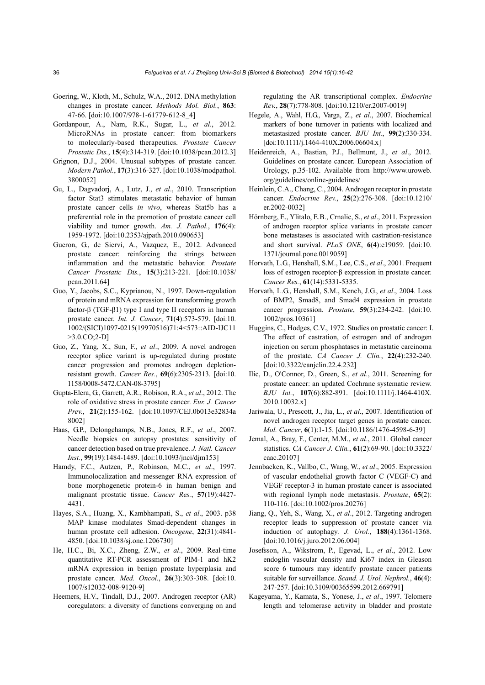- Goering, W., Kloth, M., Schulz, W.A., 2012. DNA methylation changes in prostate cancer. *Methods Mol. Biol.*, **863**: 47-66. [doi:10.1007/978-1-61779-612-8\_4]
- Gordanpour, A., Nam, R.K., Sugar, L., *et al*., 2012. MicroRNAs in prostate cancer: from biomarkers to molecularly-based therapeutics. *Prostate Cancer Prostatic Dis.*, **15**(4):314-319. [doi:10.1038/pcan.2012.3]
- Grignon, D.J., 2004. Unusual subtypes of prostate cancer. *Modern Pathol.*, **17**(3):316-327. [doi:10.1038/modpathol. 3800052]
- Gu, L., Dagvadorj, A., Lutz, J., *et al*., 2010. Transcription factor Stat3 stimulates metastatic behavior of human prostate cancer cells *in vivo*, whereas Stat5b has a preferential role in the promotion of prostate cancer cell viability and tumor growth. *Am. J. Pathol.*, **176**(4): 1959-1972. [doi:10.2353/ajpath.2010.090653]
- Gueron, G., de Siervi, A., Vazquez, E., 2012. Advanced prostate cancer: reinforcing the strings between inflammation and the metastatic behavior. *Prostate Cancer Prostatic Dis.*, **15**(3):213-221. [doi:10.1038/ pcan.2011.64]
- Guo, Y., Jacobs, S.C., Kyprianou, N., 1997. Down-regulation of protein and mRNA expression for transforming growth factor-β (TGF-β1) type I and type II receptors in human prostate cancer. *Int. J. Cancer*, **71**(4):573-579. [doi:10. 1002/(SICI)1097-0215(19970516)71:4<573::AID-IJC11 >3.0.CO;2-D]
- Guo, Z., Yang, X., Sun, F., *et al*., 2009. A novel androgen receptor splice variant is up-regulated during prostate cancer progression and promotes androgen depletionresistant growth. *Cancer Res.*, **69**(6):2305-2313. [doi:10. 1158/0008-5472.CAN-08-3795]
- Gupta-Elera, G., Garrett, A.R., Robison, R.A., *et al*., 2012. The role of oxidative stress in prostate cancer. *Eur. J. Cancer Prev.*, **21**(2):155-162. [doi:10.1097/CEJ.0b013e32834a 8002]
- Haas, G.P., Delongchamps, N.B., Jones, R.F., *et al*., 2007. Needle biopsies on autopsy prostates: sensitivity of cancer detection based on true prevalence. *J. Natl. Cancer Inst.*, **99**(19):1484-1489. [doi:10.1093/jnci/djm153]
- Hamdy, F.C., Autzen, P., Robinson, M.C., *et al*., 1997. Immunolocalization and messenger RNA expression of bone morphogenetic protein-6 in human benign and malignant prostatic tissue. *Cancer Res.*, **57**(19):4427- 4431.
- Hayes, S.A., Huang, X., Kambhampati, S., *et al*., 2003. p38 MAP kinase modulates Smad-dependent changes in human prostate cell adhesion. *Oncogene*, **22**(31):4841- 4850. [doi:10.1038/sj.onc.1206730]
- He, H.C., Bi, X.C., Zheng, Z.W., *et al*., 2009. Real-time quantitative RT-PCR assessment of PIM-1 and hK2 mRNA expression in benign prostate hyperplasia and prostate cancer. *Med. Oncol.*, **26**(3):303-308. [doi:10. 1007/s12032-008-9120-9]
- Heemers, H.V., Tindall, D.J., 2007. Androgen receptor (AR) coregulators: a diversity of functions converging on and

regulating the AR transcriptional complex. *Endocrine Rev.*, **28**(7):778-808. [doi:10.1210/er.2007-0019]

- Hegele, A., Wahl, H.G., Varga, Z., *et al*., 2007. Biochemical markers of bone turnover in patients with localized and metastasized prostate cancer. *BJU Int.*, **99**(2):330-334. [doi:10.1111/j.1464-410X.2006.06604.x]
- Heidenreich, A., Bastian, P.J., Bellmunt, J., *et al*., 2012. Guidelines on prostate cancer. European Association of Urology, p.35-102. Available from http://www.uroweb. org/guidelines/online-guidelines/
- Heinlein, C.A., Chang, C., 2004. Androgen receptor in prostate cancer. *Endocrine Rev.*, **25**(2):276-308. [doi:10.1210/ er.2002-0032]
- Hörnberg, E., Ylitalo, E.B., Crnalic, S., *et al*., 2011. Expression of androgen receptor splice variants in prostate cancer bone metastases is associated with castration-resistance and short survival. *PLoS ONE*, **6**(4):e19059. [doi:10. 1371/journal.pone.0019059]
- Horvath, L.G., Henshall, S.M., Lee, C.S., *et al*., 2001. Frequent loss of estrogen receptor-β expression in prostate cancer. *Cancer Res.*, **61**(14):5331-5335.
- Horvath, L.G., Henshall, S.M., Kench, J.G., *et al*., 2004. Loss of BMP2, Smad8, and Smad4 expression in prostate cancer progression. *Prostate*, **59**(3):234-242. [doi:10. 1002/pros.10361]
- Huggins, C., Hodges, C.V., 1972. Studies on prostatic cancer: I. The effect of castration, of estrogen and of androgen injection on serum phosphatases in metastatic carcinoma of the prostate. *CA Cancer J. Clin.*, **22**(4):232-240. [doi:10.3322/canjclin.22.4.232]
- Ilic, D., O'Connor, D., Green, S., *et al*., 2011. Screening for prostate cancer: an updated Cochrane systematic review. *BJU Int.*, **107**(6):882-891. [doi:10.1111/j.1464-410X. 2010.10032.x]
- Jariwala, U., Prescott, J., Jia, L., *et al*., 2007. Identification of novel androgen receptor target genes in prostate cancer. *Mol. Cancer*, **6**(1):1-15. [doi:10.1186/1476-4598-6-39]
- Jemal, A., Bray, F., Center, M.M., *et al*., 2011. Global cancer statistics. *CA Cancer J. Clin.*, **61**(2):69-90. [doi:10.3322/ caac.20107]
- Jennbacken, K., Vallbo, C., Wang, W., *et al*., 2005. Expression of vascular endothelial growth factor C (VEGF-C) and VEGF receptor-3 in human prostate cancer is associated with regional lymph node metastasis. *Prostate*, **65**(2): 110-116. [doi:10.1002/pros.20276]
- Jiang, Q., Yeh, S., Wang, X., *et al*., 2012. Targeting androgen receptor leads to suppression of prostate cancer via induction of autophagy. *J. Urol.*, **188**(4):1361-1368. [doi:10.1016/j.juro.2012.06.004]
- Josefsson, A., Wikstrom, P., Egevad, L., *et al*., 2012. Low endoglin vascular density and Ki67 index in Gleason score 6 tumours may identify prostate cancer patients suitable for surveillance. *Scand. J. Urol. Nephrol.*, **46**(4): 247-257. [doi:10.3109/00365599.2012.669791]
- Kageyama, Y., Kamata, S., Yonese, J., *et al*., 1997. Telomere length and telomerase activity in bladder and prostate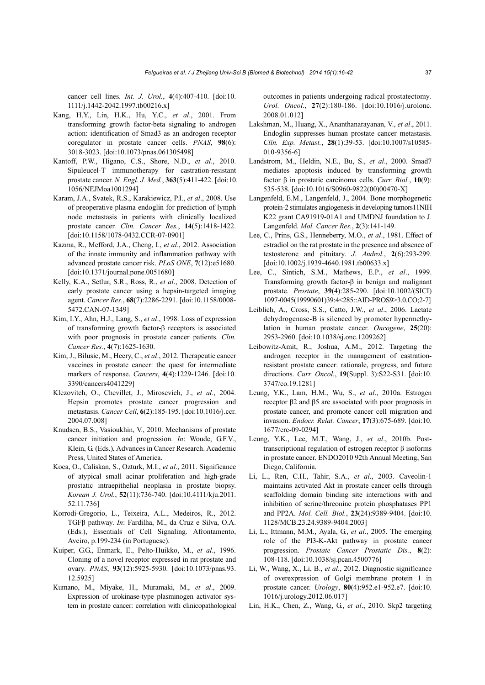cancer cell lines. *Int. J. Urol.*, **4**(4):407-410. [doi:10. 1111/j.1442-2042.1997.tb00216.x]

- Kang, H.Y., Lin, H.K., Hu, Y.C., *et al*., 2001. From transforming growth factor-beta signaling to androgen action: identification of Smad3 as an androgen receptor coregulator in prostate cancer cells. *PNAS*, **98**(6): 3018-3023. [doi:10.1073/pnas.061305498]
- Kantoff, P.W., Higano, C.S., Shore, N.D., *et al*., 2010. Sipuleucel-T immunotherapy for castration-resistant prostate cancer. *N. Engl. J. Med.*, **363**(5):411-422. [doi:10. 1056/NEJMoa1001294]
- Karam, J.A., Svatek, R.S., Karakiewicz, P.I., *et al*., 2008. Use of preoperative plasma endoglin for prediction of lymph node metastasis in patients with clinically localized prostate cancer. *Clin. Cancer Res.*, **14**(5):1418-1422. [doi:10.1158/1078-0432.CCR-07-0901]
- Kazma, R., Mefford, J.A., Cheng, I., *et al*., 2012. Association of the innate immunity and inflammation pathway with advanced prostate cancer risk. *PLoS ONE*, **7**(12):e51680. [doi:10.1371/journal.pone.0051680]
- Kelly, K.A., Setlur, S.R., Ross, R., *et al*., 2008. Detection of early prostate cancer using a hepsin-targeted imaging agent. *Cancer Res.*, **68**(7):2286-2291. [doi:10.1158/0008- 5472.CAN-07-1349]
- Kim, I.Y., Ahn, H.J., Lang, S., *et al*., 1998. Loss of expression of transforming growth factor-β receptors is associated with poor prognosis in prostate cancer patients. *Clin. Cancer Res.*, **4**(7):1625-1630.
- Kim, J., Bilusic, M., Heery, C., *et al*., 2012. Therapeutic cancer vaccines in prostate cancer: the quest for intermediate markers of response. *Cancers*, **4**(4):1229-1246. [doi:10. 3390/cancers4041229]
- Klezovitch, O., Chevillet, J., Mirosevich, J., *et al*., 2004. Hepsin promotes prostate cancer progression and metastasis. *Cancer Cell*, **6**(2):185-195. [doi:10.1016/j.ccr. 2004.07.008]
- Knudsen, B.S., Vasioukhin, V., 2010. Mechanisms of prostate cancer initiation and progression. In: Woude, G.F.V., Klein, G. (Eds.), Advances in Cancer Research. Academic Press, United States of America.
- Koca, O., Caliskan, S., Ozturk, M.I., *et al*., 2011. Significance of atypical small acinar proliferation and high-grade prostatic intraepithelial neoplasia in prostate biopsy. *Korean J. Urol.*, **52**(11):736-740. [doi:10.4111/kju.2011. 52.11.736]
- Korrodi-Gregorio, L., Teixeira, A.L., Medeiros, R., 2012. TGFβ pathway. *In*: Fardilha, M., da Cruz e Silva, O.A. (Eds.), Essentials of Cell Signaling. Afrontamento, Aveiro, p.199-234 (in Portuguese).
- Kuiper, G.G., Enmark, E., Pelto-Huikko, M., *et al*., 1996. Cloning of a novel receptor expressed in rat prostate and ovary. *PNAS*, **93**(12):5925-5930. [doi:10.1073/pnas.93. 12.5925]
- Kumano, M., Miyake, H., Muramaki, M., *et al*., 2009. Expression of urokinase-type plasminogen activator system in prostate cancer: correlation with clinicopathological

outcomes in patients undergoing radical prostatectomy. *Urol. Oncol.*, **27**(2):180-186. [doi:10.1016/j.urolonc. 2008.01.012]

- Lakshman, M., Huang, X., Ananthanarayanan, V., *et al*., 2011. Endoglin suppresses human prostate cancer metastasis. *Clin. Exp. Metast.*, **28**(1):39-53. [doi:10.1007/s10585- 010-9356-6]
- Landstrom, M., Heldin, N.E., Bu, S., *et al*., 2000. Smad7 mediates apoptosis induced by transforming growth factor β in prostatic carcinoma cells. *Curr. Biol.*, **10**(9): 535-538. [doi:10.1016/S0960-9822(00)00470-X]
- Langenfeld, E.M., Langenfeld, J., 2004. Bone morphogenetic protein-2 stimulates angiogenesis in developing tumors11NIH K22 grant CA91919-01A1 and UMDNJ foundation to J. Langenfeld. *Mol. Cancer Res.*, **2**(3):141-149.
- Lee, C., Prins, G.S., Henneberry, M.O., *et al*., 1981. Effect of estradiol on the rat prostate in the presence and absence of testosterone and pituitary. *J. Androl.*, **2**(6):293-299. [doi:10.1002/j.1939-4640.1981.tb00633.x]
- Lee, C., Sintich, S.M., Mathews, E.P., *et al*., 1999. Transforming growth factor-β in benign and malignant prostate. *Prostate*, **39**(4):285-290. [doi:10.1002/(SICI) 1097-0045(19990601)39:4<285::AID-PROS9>3.0.CO;2-7]
- Leiblich, A., Cross, S.S., Catto, J.W., *et al*., 2006. Lactate dehydrogenase-B is silenced by promoter hypermethylation in human prostate cancer. *Oncogene*, **25**(20): 2953-2960. [doi:10.1038/sj.onc.1209262]
- Leibowitz-Amit, R., Joshua, A.M., 2012. Targeting the androgen receptor in the management of castrationresistant prostate cancer: rationale, progress, and future directions. *Curr. Oncol.*, **19**(Suppl. 3):S22-S31. [doi:10. 3747/co.19.1281]
- Leung, Y.K., Lam, H.M., Wu, S., *et al*., 2010a. Estrogen receptor β2 and β5 are associated with poor prognosis in prostate cancer, and promote cancer cell migration and invasion. *Endocr. Relat. Cancer*, **17**(3):675-689. [doi:10. 1677/erc-09-0294]
- Leung, Y.K., Lee, M.T., Wang, J., *et al*., 2010b. Posttranscriptional regulation of estrogen receptor β isoforms in prostate cancer. ENDO2010 92th Annual Meeting, San Diego, California.
- Li, L., Ren, C.H., Tahir, S.A., *et al*., 2003. Caveolin-1 maintains activated Akt in prostate cancer cells through scaffolding domain binding site interactions with and inhibition of serine/threonine protein phosphatases PP1 and PP2A. *Mol. Cell. Biol.*, **23**(24):9389-9404. [doi:10. 1128/MCB.23.24.9389-9404.2003]
- Li, L., Ittmann, M.M., Ayala, G., *et al*., 2005. The emerging role of the PI3-K-Akt pathway in prostate cancer progression. *Prostate Cancer Prostatic Dis.*, **8**(2): 108-118. [doi:10.1038/sj.pcan.4500776]
- Li, W., Wang, X., Li, B., *et al*., 2012. Diagnostic significance of overexpression of Golgi membrane protein 1 in prostate cancer. *Urology*, **80**(4):952.e1-952.e7. [doi:10. 1016/j.urology.2012.06.017]
- Lin, H.K., Chen, Z., Wang, G., *et al*., 2010. Skp2 targeting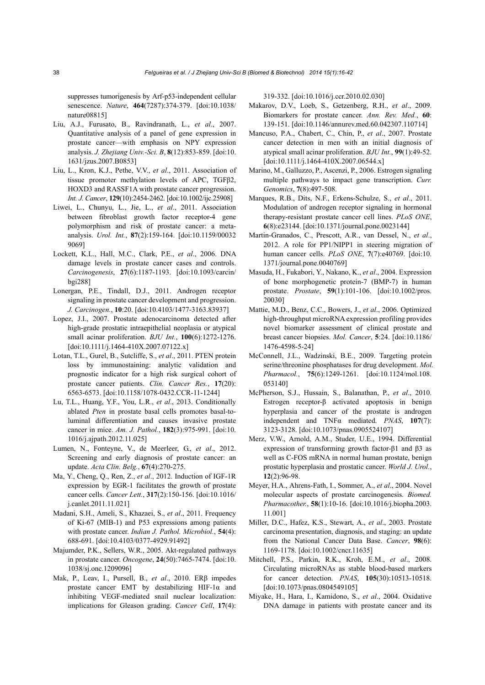suppresses tumorigenesis by Arf-p53-independent cellular senescence. *Nature*, **464**(7287):374-379. [doi:10.1038/ nature08815]

- Liu, A.J., Furusato, B., Ravindranath, L., *et al*., 2007. Quantitative analysis of a panel of gene expression in prostate cancer—with emphasis on NPY expression analysis. *J. Zhejiang Univ.-Sci. B*, **8**(12):853-859. [doi:10. 1631/jzus.2007.B0853]
- Liu, L., Kron, K.J., Pethe, V.V., *et al*., 2011. Association of tissue promoter methylation levels of APC, TGFβ2, HOXD3 and RASSF1A with prostate cancer progression. *Int. J. Cancer*, **129**(10):2454-2462. [doi:10.1002/ijc.25908]
- Liwei, L., Chunyu, L., Jie, L., *et al*., 2011. Association between fibroblast growth factor receptor-4 gene polymorphism and risk of prostate cancer: a metaanalysis. *Urol. Int.*, **87**(2):159-164. [doi:10.1159/00032 9069]
- Lockett, K.L., Hall, M.C., Clark, P.E., *et al*., 2006. DNA damage levels in prostate cancer cases and controls. *Carcinogenesis*, **27**(6):1187-1193. [doi:10.1093/carcin/ bgi288]
- Lonergan, P.E., Tindall, D.J., 2011. Androgen receptor signaling in prostate cancer development and progression. *J. Carcinogen.*, **10**:20. [doi:10.4103/1477-3163.83937]
- Lopez, J.I., 2007. Prostate adenocarcinoma detected after high-grade prostatic intraepithelial neoplasia or atypical small acinar proliferation. *BJU Int.*, **100**(6):1272-1276. [doi:10.1111/j.1464-410X.2007.07122.x]
- Lotan, T.L., Gurel, B., Sutcliffe, S., *et al*., 2011. PTEN protein loss by immunostaining: analytic validation and prognostic indicator for a high risk surgical cohort of prostate cancer patients. *Clin. Cancer Res.*, **17**(20): 6563-6573. [doi:10.1158/1078-0432.CCR-11-1244]
- Lu, T.L., Huang, Y.F., You, L.R., *et al*., 2013. Conditionally ablated *Pten* in prostate basal cells promotes basal-toluminal differentiation and causes invasive prostate cancer in mice. *Am. J. Pathol.*, **182**(3):975-991. [doi:10. 1016/j.ajpath.2012.11.025]
- Lumen, N., Fonteyne, V., de Meerleer, G., *et al*., 2012. Screening and early diagnosis of prostate cancer: an update. *Acta Clin. Belg.*, **67**(4):270-275.
- Ma, Y., Cheng, Q., Ren, Z., *et al*., 2012. Induction of IGF-1R expression by EGR-1 facilitates the growth of prostate cancer cells. *Cancer Lett.*, **317**(2):150-156. [doi:10.1016/ j.canlet.2011.11.021]
- Madani, S.H., Ameli, S., Khazaei, S., *et al*., 2011. Frequency of Ki-67 (MIB-1) and P53 expressions among patients with prostate cancer. *Indian J. Pathol. Microbiol.*, **54**(4): 688-691. [doi:10.4103/0377-4929.91492]
- Majumder, P.K., Sellers, W.R., 2005. Akt-regulated pathways in prostate cancer. *Oncogene*, **24**(50):7465-7474. [doi:10. 1038/sj.onc.1209096]
- Mak, P., Leav, I., Pursell, B., *et al*., 2010. ERβ impedes prostate cancer EMT by destabilizing HIF-1 $\alpha$  and inhibiting VEGF-mediated snail nuclear localization: implications for Gleason grading. *Cancer Cell*, **17**(4):

319-332. [doi:10.1016/j.ccr.2010.02.030]

- Makarov, D.V., Loeb, S., Getzenberg, R.H., *et al*., 2009. Biomarkers for prostate cancer. *Ann. Rev. Med.*, **60**: 139-151. [doi:10.1146/annurev.med.60.042307.110714]
- Mancuso, P.A., Chabert, C., Chin, P., *et al*., 2007. Prostate cancer detection in men with an initial diagnosis of atypical small acinar proliferation. *BJU Int.*, **99**(1):49-52. [doi:10.1111/j.1464-410X.2007.06544.x]
- Marino, M., Galluzzo, P., Ascenzi, P., 2006. Estrogen signaling multiple pathways to impact gene transcription. *Curr. Genomics*, **7**(8):497-508.
- Marques, R.B., Dits, N.F., Erkens-Schulze, S., *et al*., 2011. Modulation of androgen receptor signaling in hormonal therapy-resistant prostate cancer cell lines. *PLoS ONE*, **6**(8):e23144. [doi:10.1371/journal.pone.0023144]
- Martin-Granados, C., Prescott, A.R., van Dessel, N., *et al*., 2012. A role for PP1/NIPP1 in steering migration of human cancer cells. *PLoS ONE*, **7**(7):e40769. [doi:10. 1371/journal.pone.0040769]
- Masuda, H., Fukabori, Y., Nakano, K., *et al*., 2004. Expression of bone morphogenetic protein-7 (BMP-7) in human prostate. *Prostate*, **59**(1):101-106. [doi:10.1002/pros. 20030]
- Mattie, M.D., Benz, C.C., Bowers, J., *et al*., 2006. Optimized high-throughput microRNA expression profiling provides novel biomarker assessment of clinical prostate and breast cancer biopsies. *Mol. Cancer*, **5**:24. [doi:10.1186/ 1476-4598-5-24]
- McConnell, J.L., Wadzinski, B.E., 2009. Targeting protein serine/threonine phosphatases for drug development. *Mol. Pharmacol.*, **75**(6):1249-1261. [doi:10.1124/mol.108. 053140]
- McPherson, S.J., Hussain, S., Balanathan, P., *et al*., 2010. Estrogen receptor-β activated apoptosis in benign hyperplasia and cancer of the prostate is androgen independent and TNFα mediated. *PNAS*, **107**(7): 3123-3128. [doi:10.1073/pnas.0905524107]
- Merz, V.W., Arnold, A.M., Studer, U.E., 1994. Differential expression of transforming growth factor-β1 and β3 as well as C-FOS mRNA in normal human prostate, benign prostatic hyperplasia and prostatic cancer. *World J. Urol.*, **12**(2):96-98.
- Meyer, H.A., Ahrens-Fath, I., Sommer, A., *et al*., 2004. Novel molecular aspects of prostate carcinogenesis. *Biomed. Pharmacother.*, **58**(1):10-16. [doi:10.1016/j.biopha.2003. 11.001]
- Miller, D.C., Hafez, K.S., Stewart, A., *et al*., 2003. Prostate carcinoma presentation, diagnosis, and staging: an update from the National Cancer Data Base. *Cancer*, **98**(6): 1169-1178. [doi:10.1002/cncr.11635]
- Mitchell, P.S., Parkin, R.K., Kroh, E.M., *et al*., 2008. Circulating microRNAs as stable blood-based markers for cancer detection. *PNAS*, **105**(30):10513-10518. [doi:10.1073/pnas.0804549105]
- Miyake, H., Hara, I., Kamidono, S., *et al*., 2004. Oxidative DNA damage in patients with prostate cancer and its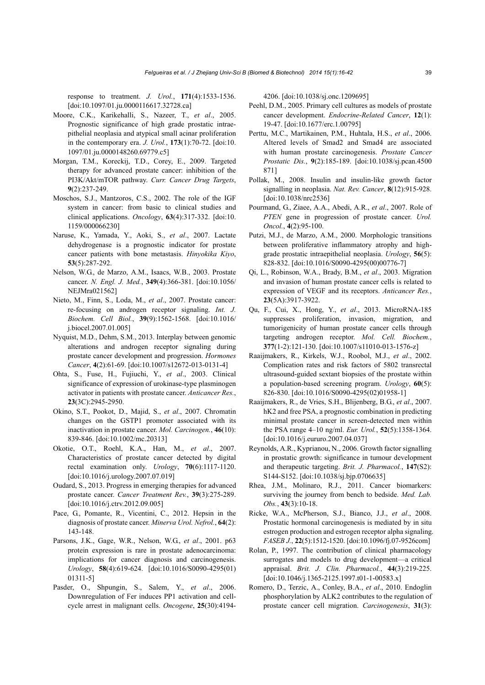response to treatment. *J. Urol.*, **171**(4):1533-1536. [doi:10.1097/01.ju.0000116617.32728.ca]

- Moore, C.K., Karikehalli, S., Nazeer, T., *et al*., 2005. Prognostic significance of high grade prostatic intraepithelial neoplasia and atypical small acinar proliferation in the contemporary era. *J. Urol.*, **173**(1):70-72. [doi:10. 1097/01.ju.0000148260.69779.c5]
- Morgan, T.M., Koreckij, T.D., Corey, E., 2009. Targeted therapy for advanced prostate cancer: inhibition of the PI3K/Akt/mTOR pathway. *Curr. Cancer Drug Targets*, **9**(2):237-249.
- Moschos, S.J., Mantzoros, C.S., 2002. The role of the IGF system in cancer: from basic to clinical studies and clinical applications. *Oncology*, **63**(4):317-332. [doi:10. 1159/000066230]
- Naruse, K., Yamada, Y., Aoki, S., *et al*., 2007. Lactate dehydrogenase is a prognostic indicator for prostate cancer patients with bone metastasis. *Hinyokika Kiyo*, **53**(5):287-292.
- Nelson, W.G., de Marzo, A.M., Isaacs, W.B., 2003. Prostate cancer. *N. Engl. J. Med.*, **349**(4):366-381. [doi:10.1056/ NEJMra021562]
- Nieto, M., Finn, S., Loda, M., *et al*., 2007. Prostate cancer: re-focusing on androgen receptor signaling. *Int. J. Biochem. Cell Biol.*, **39**(9):1562-1568. [doi:10.1016/ j.biocel.2007.01.005]
- Nyquist, M.D., Dehm, S.M., 2013. Interplay between genomic alterations and androgen receptor signaling during prostate cancer development and progression. *Hormones Cancer*, **4**(2):61-69. [doi:10.1007/s12672-013-0131-4]
- Ohta, S., Fuse, H., Fujiuchi, Y., *et al*., 2003. Clinical significance of expression of urokinase-type plasminogen activator in patients with prostate cancer. *Anticancer Res.*, **23**(3C):2945-2950.
- Okino, S.T., Pookot, D., Majid, S., *et al*., 2007. Chromatin changes on the GSTP1 promoter associated with its inactivation in prostate cancer. *Mol. Carcinogen.*, **46**(10): 839-846. [doi:10.1002/mc.20313]
- Okotie, O.T., Roehl, K.A., Han, M., *et al*., 2007. Characteristics of prostate cancer detected by digital rectal examination only. *Urology*, **70**(6):1117-1120. [doi:10.1016/j.urology.2007.07.019]
- Oudard, S., 2013. Progress in emerging therapies for advanced prostate cancer. *Cancer Treatment Rev.*, **39**(3):275-289. [doi:10.1016/j.ctrv.2012.09.005]
- Pace, G., Pomante, R., Vicentini, C., 2012. Hepsin in the diagnosis of prostate cancer. *Minerva Urol. Nefrol.*, **64**(2): 143-148.
- Parsons, J.K., Gage, W.R., Nelson, W.G., *et al*., 2001. p63 protein expression is rare in prostate adenocarcinoma: implications for cancer diagnosis and carcinogenesis. *Urology*, **58**(4):619-624. [doi:10.1016/S0090-4295(01) 01311-5]
- Pasder, O., Shpungin, S., Salem, Y., *et al*., 2006. Downregulation of Fer induces PP1 activation and cellcycle arrest in malignant cells. *Oncogene*, **25**(30):4194-

4206. [doi:10.1038/sj.onc.1209695]

- Peehl, D.M., 2005. Primary cell cultures as models of prostate cancer development. *Endocrine-Related Cancer*, **12**(1): 19-47. [doi:10.1677/erc.1.00795]
- Perttu, M.C., Martikainen, P.M., Huhtala, H.S., *et al*., 2006. Altered levels of Smad2 and Smad4 are associated with human prostate carcinogenesis. *Prostate Cancer Prostatic Dis.*, **9**(2):185-189. [doi:10.1038/sj.pcan.4500 871]
- Pollak, M., 2008. Insulin and insulin-like growth factor signalling in neoplasia. *Nat. Rev. Cancer*, **8**(12):915-928. [doi:10.1038/nrc2536]
- Pourmand, G., Ziaee, A.A., Abedi, A.R., *et al*., 2007. Role of *PTEN* gene in progression of prostate cancer. *Urol. Oncol.*, **4**(2):95-100.
- Putzi, M.J., de Marzo, A.M., 2000. Morphologic transitions between proliferative inflammatory atrophy and highgrade prostatic intraepithelial neoplasia. *Urology*, **56**(5): 828-832. [doi:10.1016/S0090-4295(00)00776-7]
- Qi, L., Robinson, W.A., Brady, B.M., *et al*., 2003. Migration and invasion of human prostate cancer cells is related to expression of VEGF and its receptors. *Anticancer Res.*, **23**(5A):3917-3922.
- Qu, F., Cui, X., Hong, Y., *et al*., 2013. MicroRNA-185 suppresses proliferation, invasion, migration, and tumorigenicity of human prostate cancer cells through targeting androgen receptor. *Mol. Cell. Biochem.*, **377**(1-2):121-130. [doi:10.1007/s11010-013-1576-z]
- Raaijmakers, R., Kirkels, W.J., Roobol, M.J., *et al*., 2002. Complication rates and risk factors of 5802 transrectal ultrasound-guided sextant biopsies of the prostate within a population-based screening program. *Urology*, **60**(5): 826-830. [doi:10.1016/S0090-4295(02)01958-1]
- Raaijmakers, R., de Vries, S.H., Blijenberg, B.G., *et al*., 2007. hK2 and free PSA, a prognostic combination in predicting minimal prostate cancer in screen-detected men within the PSA range 4–10 ng/ml. *Eur. Urol.*, **52**(5):1358-1364. [doi:10.1016/j.eururo.2007.04.037]
- Reynolds, A.R., Kyprianou, N., 2006. Growth factor signalling in prostatic growth: significance in tumour development and therapeutic targeting. *Brit. J. Pharmacol.*, **147**(S2): S144-S152. [doi:10.1038/sj.bjp.0706635]
- Rhea, J.M., Molinaro, R.J., 2011. Cancer biomarkers: surviving the journey from bench to bedside. *Med. Lab. Obs.*, **43**(3):10-18.
- Ricke, W.A., McPherson, S.J., Bianco, J.J., *et al*., 2008. Prostatic hormonal carcinogenesis is mediated by in situ estrogen production and estrogen receptor alpha signaling. *FASEB J.*, **22**(5):1512-1520. [doi:10.1096/fj.07-9526com]
- Rolan, P., 1997. The contribution of clinical pharmacology surrogates and models to drug development—a critical appraisal. *Brit. J. Clin. Pharmacol.*, **44**(3):219-225.  $\left[$ doi:10.1046/j.1365-2125.1997.t01-1-00583.x $\right]$
- Romero, D., Terzic, A., Conley, B.A., *et al*., 2010. Endoglin phosphorylation by ALK2 contributes to the regulation of prostate cancer cell migration. *Carcinogenesis*, **31**(3):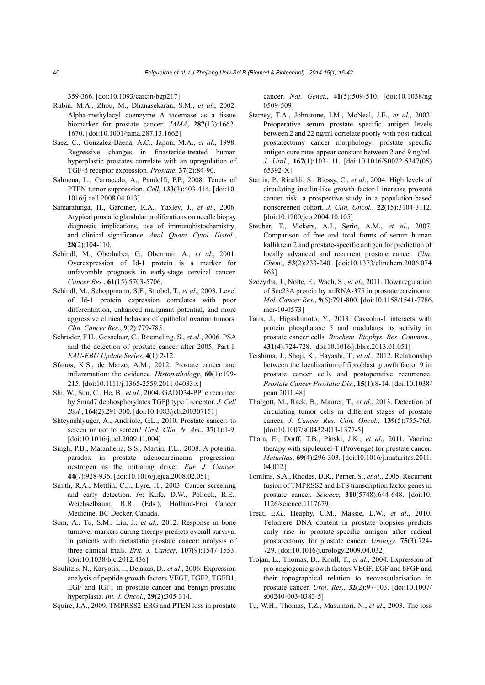359-366. [doi:10.1093/carcin/bgp217]

- Rubin, M.A., Zhou, M., Dhanasekaran, S.M., *et al*., 2002. Alpha-methylacyl coenzyme A racemase as a tissue biomarker for prostate cancer. *JAMA*, **287**(13):1662- 1670. [doi:10.1001/jama.287.13.1662]
- Saez, C., Gonzalez-Baena, A.C., Japon, M.A., *et al*., 1998. Regressive changes in finasteride-treated human hyperplastic prostates correlate with an upregulation of TGF-β receptor expression. *Prostate*, **37**(2):84-90.
- Salmena, L., Carracedo, A., Pandolfi, P.P., 2008. Tenets of PTEN tumor suppression. *Cell*, **133**(3):403-414. [doi:10. 1016/j.cell.2008.04.013]
- Samaratunga, H., Gardiner, R.A., Yaxley, J., *et al*., 2006. Atypical prostatic glandular proliferations on needle biopsy: diagnostic implications, use of immunohistochemistry, and clinical significance. *Anal. Quant. Cytol. Histol.*, **28**(2):104-110.
- Schindl, M., Oberhuber, G., Obermair, A., *et al*., 2001. Overexpression of Id-1 protein is a marker for unfavorable prognosis in early-stage cervical cancer. *Cancer Res.*, **61**(15):5703-5706.
- Schindl, M., Schoppmann, S.F., Strobel, T., *et al*., 2003. Level of Id-1 protein expression correlates with poor differentiation, enhanced malignant potential, and more aggressive clinical behavior of epithelial ovarian tumors. *Clin. Cancer Res.*, **9**(2):779-785.
- Schröder, F.H., Gosselaar, C., Roemeling, S., *et al*., 2006. PSA and the detection of prostate cancer after 2005. Part I. *EAU-EBU Update Series*, **4**(1):2-12.
- Sfanos, K.S., de Marzo, A.M., 2012. Prostate cancer and inflammation: the evidence. *Histopathology*, **60**(1):199- 215. [doi:10.1111/j.1365-2559.2011.04033.x]
- Shi, W., Sun, C., He, B., *et al*., 2004. GADD34-PP1c recruited by Smad7 dephosphorylates TGFβ type I receptor. *J. Cell Biol.*, **164**(2):291-300. [doi:10.1083/jcb.200307151]
- Shteynshlyuger, A., Andriole, G.L., 2010. Prostate cancer: to screen or not to screen? *Urol. Clin. N. Am.*, **37**(1):1-9. [doi:10.1016/j.ucl.2009.11.004]
- Singh, P.B., Matanhelia, S.S., Martin, F.L., 2008. A potential paradox in prostate adenocarcinoma progression: oestrogen as the initiating driver. *Eur. J. Cancer*, **44**(7):928-936. [doi:10.1016/j.ejca.2008.02.051]
- Smith, R.A., Mettlin, C.J., Eyre, H., 2003. Cancer screening and early detection. *In*: Kufe, D.W., Pollock, R.E., Weichselbaum, R.R. (Eds.), Holland-Frei Cancer Medicine. BC Decker, Canada.
- Som, A., Tu, S.M., Liu, J., *et al*., 2012. Response in bone turnover markers during therapy predicts overall survival in patients with metastatic prostate cancer: analysis of three clinical trials. *Brit. J. Cancer*, **107**(9):1547-1553. [doi:10.1038/bjc.2012.436]
- Soulitzis, N., Karyotis, I., Delakas, D., *et al*., 2006. Expression analysis of peptide growth factors VEGF, FGF2, TGFB1, EGF and IGF1 in prostate cancer and benign prostatic hyperplasia. *Int. J. Oncol.*, **29**(2):305-314.

Squire, J.A., 2009. TMPRSS2-ERG and PTEN loss in prostate

cancer. *Nat. Genet.*, **41**(5):509-510. [doi:10.1038/ng 0509-509]

- Stamey, T.A., Johnstone, I.M., McNeal, J.E., *et al*., 2002. Preoperative serum prostate specific antigen levels between 2 and 22 ng/ml correlate poorly with post-radical prostatectomy cancer morphology: prostate specific antigen cure rates appear constant between 2 and 9 ng/ml. *J. Urol.*, **167**(1):103-111. [doi:10.1016/S0022-5347(05) 65392-X]
- Stattin, P., Rinaldi, S., Biessy, C., *et al*., 2004. High levels of circulating insulin-like growth factor-I increase prostate cancer risk: a prospective study in a population-based nonscreened cohort. *J. Clin. Oncol.*, **22**(15):3104-3112. [doi:10.1200/jco.2004.10.105]
- Steuber, T., Vickers, A.J., Serio, A.M., *et al*., 2007. Comparison of free and total forms of serum human kallikrein 2 and prostate-specific antigen for prediction of locally advanced and recurrent prostate cancer. *Clin. Chem.*, **53**(2):233-240. [doi:10.1373/clinchem.2006.074 963]
- Szczyrba, J., Nolte, E., Wach, S., *et al*., 2011. Downregulation of Sec23A protein by miRNA-375 in prostate carcinoma. *Mol. Cancer Res.*, **9**(6):791-800. [doi:10.1158/1541-7786. mcr-10-0573]
- Taira, J., Higashimoto, Y., 2013. Caveolin-1 interacts with protein phosphatase 5 and modulates its activity in prostate cancer cells. *Biochem. Biophys. Res. Commun.*, **431**(4):724-728. [doi:10.1016/j.bbrc.2013.01.051]
- Teishima, J., Shoji, K., Hayashi, T., *et al*., 2012. Relationship between the localization of fibroblast growth factor 9 in prostate cancer cells and postoperative recurrence. *Prostate Cancer Prostatic Dis.*, **15**(1):8-14. [doi:10.1038/ pcan.2011.48]
- Thalgott, M., Rack, B., Maurer, T., *et al*., 2013. Detection of circulating tumor cells in different stages of prostate cancer. *J. Cancer Res. Clin. Oncol.*, **139**(5):755-763. [doi:10.1007/s00432-013-1377-5]
- Thara, E., Dorff, T.B., Pinski, J.K., *et al*., 2011. Vaccine therapy with sipuleucel-T (Provenge) for prostate cancer. *Maturitas*, **69**(4):296-303. [doi:10.1016/j.maturitas.2011. 04.012]
- Tomlins, S.A., Rhodes, D.R., Perner, S., *et al*., 2005. Recurrent fusion of TMPRSS2 and ETS transcription factor genes in prostate cancer. *Science*, **310**(5748):644-648. [doi:10. 1126/science.1117679]
- Treat, E.G., Heaphy, C.M., Massie, L.W., *et al*., 2010. Telomere DNA content in prostate biopsies predicts early rise in prostate-specific antigen after radical prostatectomy for prostate cancer. *Urology*, **75**(3):724- 729. [doi:10.1016/j.urology.2009.04.032]
- Trojan, L., Thomas, D., Knoll, T., *et al*., 2004. Expression of pro-angiogenic growth factors VEGF, EGF and bFGF and their topographical relation to neovascularisation in prostate cancer. *Urol. Res.*, **32**(2):97-103. [doi:10.1007/ s00240-003-0383-5]
- Tu, W.H., Thomas, T.Z., Masumori, N., *et al*., 2003. The loss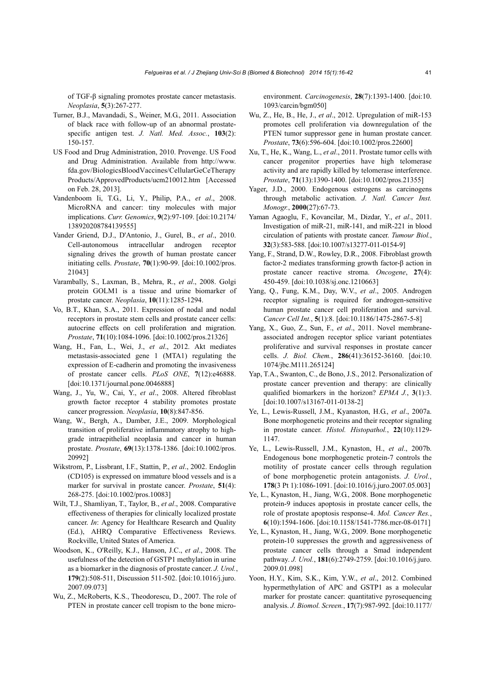of TGF-β signaling promotes prostate cancer metastasis. *Neoplasia*, **5**(3):267-277.

- Turner, B.J., Mavandadi, S., Weiner, M.G., 2011. Association of black race with follow-up of an abnormal prostatespecific antigen test. *J. Natl. Med. Assoc.*, **103**(2): 150-157.
- US Food and Drug Administration, 2010. Provenge. US Food and Drug Administration. Available from http://www. fda.gov/BiologicsBloodVaccines/CellularGeCeTherapy Products/ApprovedProducts/ucm210012.htm [Accessed on Feb. 28, 2013].
- Vandenboom Ii, T.G., Li, Y., Philip, P.A., *et al*., 2008. MicroRNA and cancer: tiny molecules with major implications. *Curr. Genomics*, **9**(2):97-109. [doi:10.2174/ 138920208784139555]
- Vander Griend, D.J., D'Antonio, J., Gurel, B., *et al*., 2010. Cell-autonomous intracellular androgen receptor signaling drives the growth of human prostate cancer initiating cells. *Prostate*, **70**(1):90-99. [doi:10.1002/pros. 21043]
- Varambally, S., Laxman, B., Mehra, R., *et al*., 2008. Golgi protein GOLM1 is a tissue and urine biomarker of prostate cancer. *Neoplasia*, **10**(11):1285-1294.
- Vo, B.T., Khan, S.A., 2011. Expression of nodal and nodal receptors in prostate stem cells and prostate cancer cells: autocrine effects on cell proliferation and migration. *Prostate*, **71**(10):1084-1096. [doi:10.1002/pros.21326]
- Wang, H., Fan, L., Wei, J., *et al*., 2012. Akt mediates metastasis-associated gene 1 (MTA1) regulating the expression of E-cadherin and promoting the invasiveness of prostate cancer cells. *PLoS ONE*, **7**(12):e46888. [doi:10.1371/journal.pone.0046888]
- Wang, J., Yu, W., Cai, Y., *et al*., 2008. Altered fibroblast growth factor receptor 4 stability promotes prostate cancer progression. *Neoplasia*, **10**(8):847-856.
- Wang, W., Bergh, A., Damber, J.E., 2009. Morphological transition of proliferative inflammatory atrophy to highgrade intraepithelial neoplasia and cancer in human prostate. *Prostate*, **69**(13):1378-1386. [doi:10.1002/pros. 20992]
- Wikstrom, P., Lissbrant, I.F., Stattin, P., *et al*., 2002. Endoglin (CD105) is expressed on immature blood vessels and is a marker for survival in prostate cancer. *Prostate*, **51**(4): 268-275. [doi:10.1002/pros.10083]
- Wilt, T.J., Shamliyan, T., Taylor, B., *et al*., 2008. Comparative effectiveness of therapies for clinically localized prostate cancer. *In*: Agency for Healthcare Research and Quality (Ed.), AHRQ Comparative Effectiveness Reviews. Rockville, United States of America.
- Woodson, K., O'Reilly, K.J., Hanson, J.C., *et al*., 2008. The usefulness of the detection of GSTP1 methylation in urine as a biomarker in the diagnosis of prostate cancer. *J. Urol.*, **179**(2):508-511, Discussion 511-502. [doi:10.1016/j.juro. 2007.09.073]
- Wu, Z., McRoberts, K.S., Theodorescu, D., 2007. The role of PTEN in prostate cancer cell tropism to the bone micro-

environment. *Carcinogenesis*, **28**(7):1393-1400. [doi:10. 1093/carcin/bgm050]

- Wu, Z., He, B., He, J., *et al*., 2012. Upregulation of miR-153 promotes cell proliferation via downregulation of the PTEN tumor suppressor gene in human prostate cancer. *Prostate*, **73**(6):596-604. [doi:10.1002/pros.22600]
- Xu, T., He, K., Wang, L., *et al*., 2011. Prostate tumor cells with cancer progenitor properties have high telomerase activity and are rapidly killed by telomerase interference. *Prostate*, **71**(13):1390-1400. [doi:10.1002/pros.21355]
- Yager, J.D., 2000. Endogenous estrogens as carcinogens through metabolic activation. *J. Natl. Cancer Inst. Monogr.*, **2000**(27):67-73.
- Yaman Agaoglu, F., Kovancilar, M., Dizdar, Y., *et al*., 2011. Investigation of miR-21, miR-141, and miR-221 in blood circulation of patients with prostate cancer. *Tumour Biol.*, **32**(3):583-588. [doi:10.1007/s13277-011-0154-9]
- Yang, F., Strand, D.W., Rowley, D.R., 2008. Fibroblast growth factor-2 mediates transforming growth factor-β action in prostate cancer reactive stroma. *Oncogene*, **27**(4): 450-459. [doi:10.1038/sj.onc.1210663]
- Yang, Q., Fung, K.M., Day, W.V., *et al*., 2005. Androgen receptor signaling is required for androgen-sensitive human prostate cancer cell proliferation and survival. *Cancer Cell Int.*, **5**(1):8. [doi:10.1186/1475-2867-5-8]
- Yang, X., Guo, Z., Sun, F., *et al*., 2011. Novel membraneassociated androgen receptor splice variant potentiates proliferative and survival responses in prostate cancer cells. *J. Biol. Chem.*, **286**(41):36152-36160. [doi:10. 1074/jbc.M111.265124]
- Yap, T.A., Swanton, C., de Bono, J.S., 2012. Personalization of prostate cancer prevention and therapy: are clinically qualified biomarkers in the horizon? *EPMA J.*, **3**(1):3. [doi:10.1007/s13167-011-0138-2]
- Ye, L., Lewis-Russell, J.M., Kyanaston, H.G., *et al*., 2007a. Bone morphogenetic proteins and their receptor signaling in prostate cancer. *Histol. Histopathol.*, **22**(10):1129- 1147.
- Ye, L., Lewis-Russell, J.M., Kynaston, H., *et al*., 2007b. Endogenous bone morphogenetic protein-7 controls the motility of prostate cancer cells through regulation of bone morphogenetic protein antagonists. *J. Urol.*, **178**(3 Pt 1):1086-1091. [doi:10.1016/j.juro.2007.05.003]
- Ye, L., Kynaston, H., Jiang, W.G., 2008. Bone morphogenetic protein-9 induces apoptosis in prostate cancer cells, the role of prostate apoptosis response-4. *Mol. Cancer Res.*, **6**(10):1594-1606. [doi:10.1158/1541-7786.mcr-08-0171]
- Ye, L., Kynaston, H., Jiang, W.G., 2009. Bone morphogenetic protein-10 suppresses the growth and aggressiveness of prostate cancer cells through a Smad independent pathway. *J. Urol.*, **181**(6):2749-2759. [doi:10.1016/j.juro. 2009.01.098]
- Yoon, H.Y., Kim, S.K., Kim, Y.W., *et al*., 2012. Combined hypermethylation of APC and GSTP1 as a molecular marker for prostate cancer: quantitative pyrosequencing analysis. *J. Biomol. Screen.*, **17**(7):987-992. [doi:10.1177/